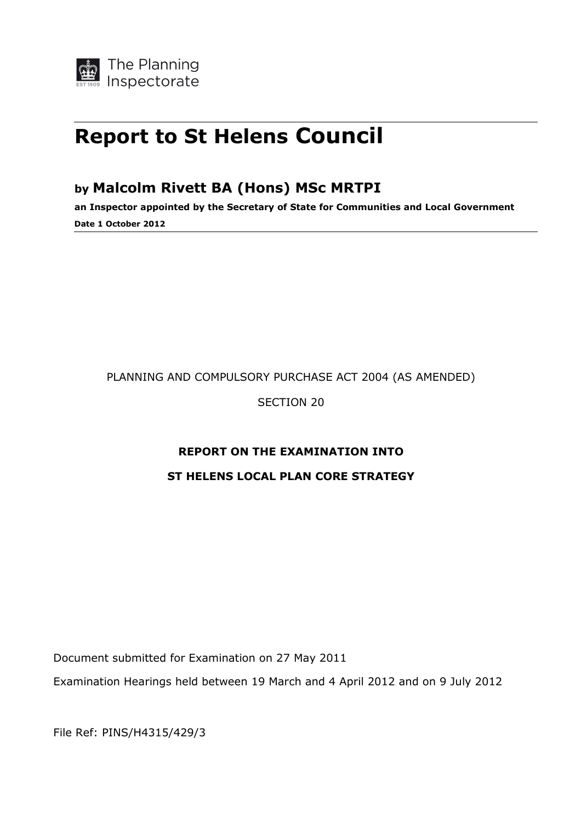# Report to St Helens Council

## by Malcolm Rivett BA (Hons) MSc MRTPI

an Inspector appointed by the Secretary of State for Communities and Local Government Date 1 October 2012

## PLANNING AND COMPULSORY PURCHASE ACT 2004 (AS AMENDED)

SECTION 20

## REPORT ON THE EXAMINATION INTO

## ST HELENS LOCAL PLAN CORE STRATEGY

Document submitted for Examination on 27 May 2011

Examination Hearings held between 19 March and 4 April 2012 and on 9 July 2012

File Ref: PINS/H4315/429/3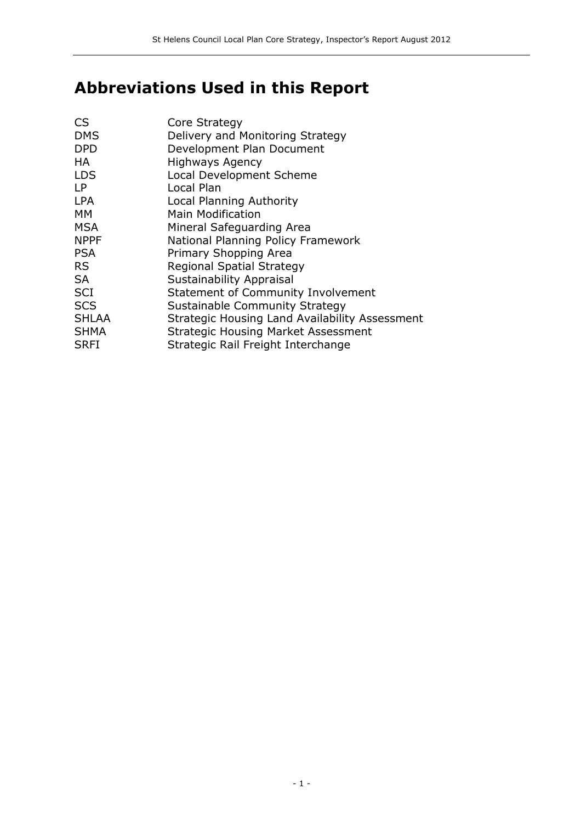## Abbreviations Used in this Report

| <b>CS</b>    | Core Strategy                                  |
|--------------|------------------------------------------------|
| <b>DMS</b>   | Delivery and Monitoring Strategy               |
| <b>DPD</b>   | Development Plan Document                      |
| НA           | <b>Highways Agency</b>                         |
| <b>LDS</b>   | <b>Local Development Scheme</b>                |
| <b>LP</b>    | Local Plan                                     |
| <b>LPA</b>   | Local Planning Authority                       |
| МM           | <b>Main Modification</b>                       |
| <b>MSA</b>   | Mineral Safequarding Area                      |
| <b>NPPF</b>  | National Planning Policy Framework             |
| <b>PSA</b>   | Primary Shopping Area                          |
| RS.          | Regional Spatial Strategy                      |
| <b>SA</b>    | <b>Sustainability Appraisal</b>                |
| <b>SCI</b>   | <b>Statement of Community Involvement</b>      |
| <b>SCS</b>   | Sustainable Community Strategy                 |
| <b>SHLAA</b> | Strategic Housing Land Availability Assessment |
| <b>SHMA</b>  | <b>Strategic Housing Market Assessment</b>     |
| <b>SRFI</b>  | Strategic Rail Freight Interchange             |
|              |                                                |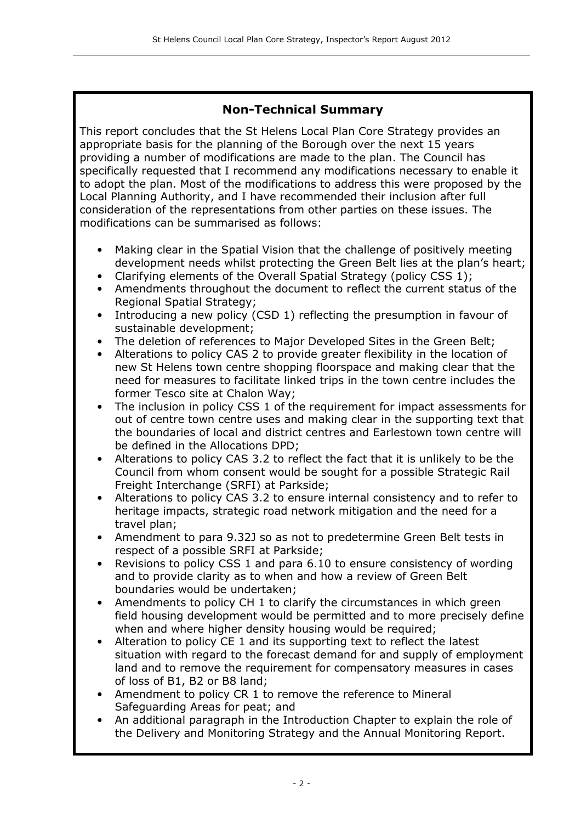## Non-Technical Summary

This report concludes that the St Helens Local Plan Core Strategy provides an appropriate basis for the planning of the Borough over the next 15 years providing a number of modifications are made to the plan. The Council has specifically requested that I recommend any modifications necessary to enable it to adopt the plan. Most of the modifications to address this were proposed by the Local Planning Authority, and I have recommended their inclusion after full consideration of the representations from other parties on these issues. The modifications can be summarised as follows:

- Making clear in the Spatial Vision that the challenge of positively meeting development needs whilst protecting the Green Belt lies at the plan's heart;
- Clarifying elements of the Overall Spatial Strategy (policy CSS 1);
- Amendments throughout the document to reflect the current status of the Regional Spatial Strategy;
- Introducing a new policy (CSD 1) reflecting the presumption in favour of sustainable development;
- The deletion of references to Major Developed Sites in the Green Belt;
- Alterations to policy CAS 2 to provide greater flexibility in the location of new St Helens town centre shopping floorspace and making clear that the need for measures to facilitate linked trips in the town centre includes the former Tesco site at Chalon Way;
- The inclusion in policy CSS 1 of the requirement for impact assessments for out of centre town centre uses and making clear in the supporting text that the boundaries of local and district centres and Earlestown town centre will be defined in the Allocations DPD;
- Alterations to policy CAS 3.2 to reflect the fact that it is unlikely to be the Council from whom consent would be sought for a possible Strategic Rail Freight Interchange (SRFI) at Parkside;
- Alterations to policy CAS 3.2 to ensure internal consistency and to refer to heritage impacts, strategic road network mitigation and the need for a travel plan;
- Amendment to para 9.32J so as not to predetermine Green Belt tests in respect of a possible SRFI at Parkside;
- Revisions to policy CSS 1 and para 6.10 to ensure consistency of wording and to provide clarity as to when and how a review of Green Belt boundaries would be undertaken;
- Amendments to policy CH 1 to clarify the circumstances in which green field housing development would be permitted and to more precisely define when and where higher density housing would be required;
- Alteration to policy CE 1 and its supporting text to reflect the latest situation with regard to the forecast demand for and supply of employment land and to remove the requirement for compensatory measures in cases of loss of B1, B2 or B8 land;
- Amendment to policy CR 1 to remove the reference to Mineral Safeguarding Areas for peat; and
- An additional paragraph in the Introduction Chapter to explain the role of the Delivery and Monitoring Strategy and the Annual Monitoring Report.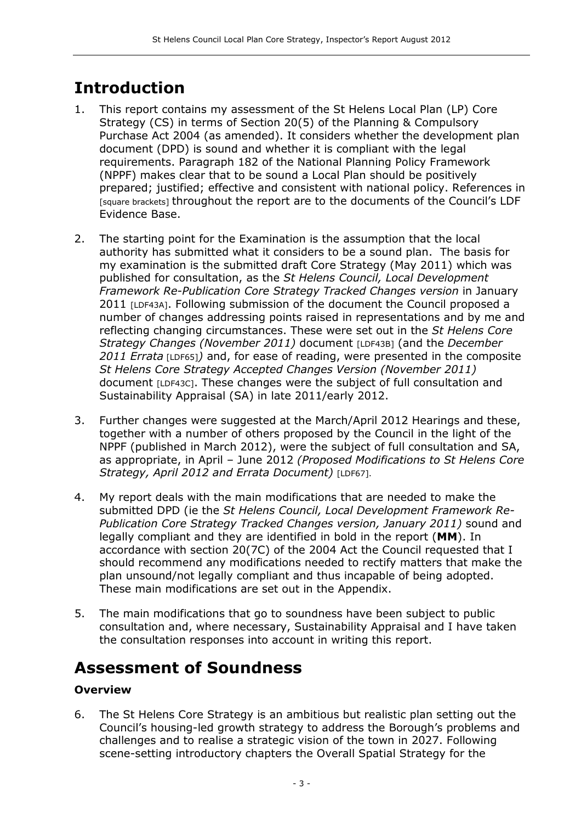## Introduction

- 1. This report contains my assessment of the St Helens Local Plan (LP) Core Strategy (CS) in terms of Section 20(5) of the Planning & Compulsory Purchase Act 2004 (as amended). It considers whether the development plan document (DPD) is sound and whether it is compliant with the legal requirements. Paragraph 182 of the National Planning Policy Framework (NPPF) makes clear that to be sound a Local Plan should be positively prepared; justified; effective and consistent with national policy. References in [square brackets] throughout the report are to the documents of the Council's LDF Evidence Base.
- 2. The starting point for the Examination is the assumption that the local authority has submitted what it considers to be a sound plan. The basis for my examination is the submitted draft Core Strategy (May 2011) which was published for consultation, as the St Helens Council, Local Development Framework Re-Publication Core Strategy Tracked Changes version in January 2011 [LDF43A]. Following submission of the document the Council proposed a number of changes addressing points raised in representations and by me and reflecting changing circumstances. These were set out in the St Helens Core Strategy Changes (November 2011) document [LDF43B] (and the December 2011 Errata [LDF65]) and, for ease of reading, were presented in the composite St Helens Core Strategy Accepted Changes Version (November 2011) document [LDF43C]. These changes were the subject of full consultation and Sustainability Appraisal (SA) in late 2011/early 2012.
- 3. Further changes were suggested at the March/April 2012 Hearings and these, together with a number of others proposed by the Council in the light of the NPPF (published in March 2012), were the subject of full consultation and SA, as appropriate, in April – June 2012 (Proposed Modifications to St Helens Core Strategy, April 2012 and Errata Document) [LDF67].
- 4. My report deals with the main modifications that are needed to make the submitted DPD (ie the St Helens Council, Local Development Framework Re-Publication Core Strategy Tracked Changes version, January 2011) sound and legally compliant and they are identified in bold in the report (MM). In accordance with section 20(7C) of the 2004 Act the Council requested that I should recommend any modifications needed to rectify matters that make the plan unsound/not legally compliant and thus incapable of being adopted. These main modifications are set out in the Appendix.
- 5. The main modifications that go to soundness have been subject to public consultation and, where necessary, Sustainability Appraisal and I have taken the consultation responses into account in writing this report.

## Assessment of Soundness

## **Overview**

6. The St Helens Core Strategy is an ambitious but realistic plan setting out the Council's housing-led growth strategy to address the Borough's problems and challenges and to realise a strategic vision of the town in 2027. Following scene-setting introductory chapters the Overall Spatial Strategy for the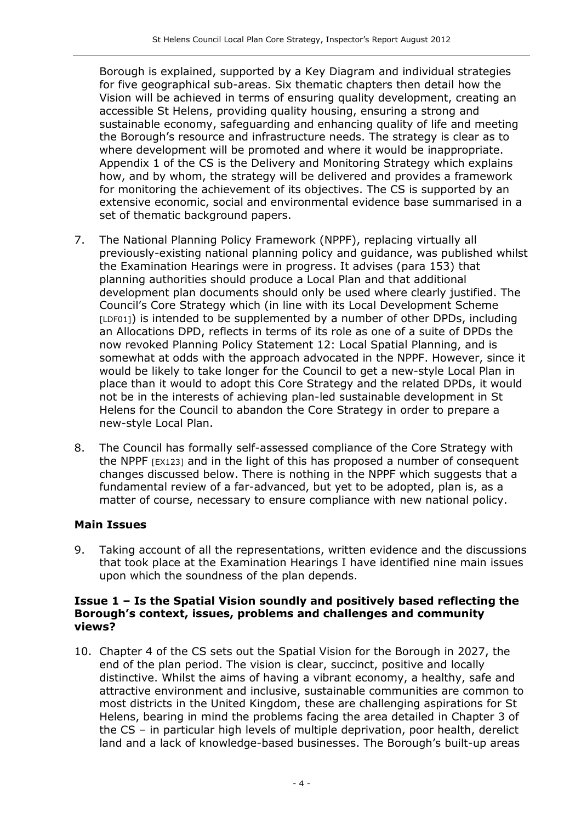Borough is explained, supported by a Key Diagram and individual strategies for five geographical sub-areas. Six thematic chapters then detail how the Vision will be achieved in terms of ensuring quality development, creating an accessible St Helens, providing quality housing, ensuring a strong and sustainable economy, safeguarding and enhancing quality of life and meeting the Borough's resource and infrastructure needs. The strategy is clear as to where development will be promoted and where it would be inappropriate. Appendix 1 of the CS is the Delivery and Monitoring Strategy which explains how, and by whom, the strategy will be delivered and provides a framework for monitoring the achievement of its objectives. The CS is supported by an extensive economic, social and environmental evidence base summarised in a set of thematic background papers.

- 7. The National Planning Policy Framework (NPPF), replacing virtually all previously-existing national planning policy and guidance, was published whilst the Examination Hearings were in progress. It advises (para 153) that planning authorities should produce a Local Plan and that additional development plan documents should only be used where clearly justified. The Council's Core Strategy which (in line with its Local Development Scheme [LDF01]) is intended to be supplemented by a number of other DPDs, including an Allocations DPD, reflects in terms of its role as one of a suite of DPDs the now revoked Planning Policy Statement 12: Local Spatial Planning, and is somewhat at odds with the approach advocated in the NPPF. However, since it would be likely to take longer for the Council to get a new-style Local Plan in place than it would to adopt this Core Strategy and the related DPDs, it would not be in the interests of achieving plan-led sustainable development in St Helens for the Council to abandon the Core Strategy in order to prepare a new-style Local Plan.
- 8. The Council has formally self-assessed compliance of the Core Strategy with the NPPF [EX123] and in the light of this has proposed a number of consequent changes discussed below. There is nothing in the NPPF which suggests that a fundamental review of a far-advanced, but yet to be adopted, plan is, as a matter of course, necessary to ensure compliance with new national policy.

#### Main Issues

9. Taking account of all the representations, written evidence and the discussions that took place at the Examination Hearings I have identified nine main issues upon which the soundness of the plan depends.

#### Issue 1 – Is the Spatial Vision soundly and positively based reflecting the Borough's context, issues, problems and challenges and community views?

10. Chapter 4 of the CS sets out the Spatial Vision for the Borough in 2027, the end of the plan period. The vision is clear, succinct, positive and locally distinctive. Whilst the aims of having a vibrant economy, a healthy, safe and attractive environment and inclusive, sustainable communities are common to most districts in the United Kingdom, these are challenging aspirations for St Helens, bearing in mind the problems facing the area detailed in Chapter 3 of the CS – in particular high levels of multiple deprivation, poor health, derelict land and a lack of knowledge-based businesses. The Borough's built-up areas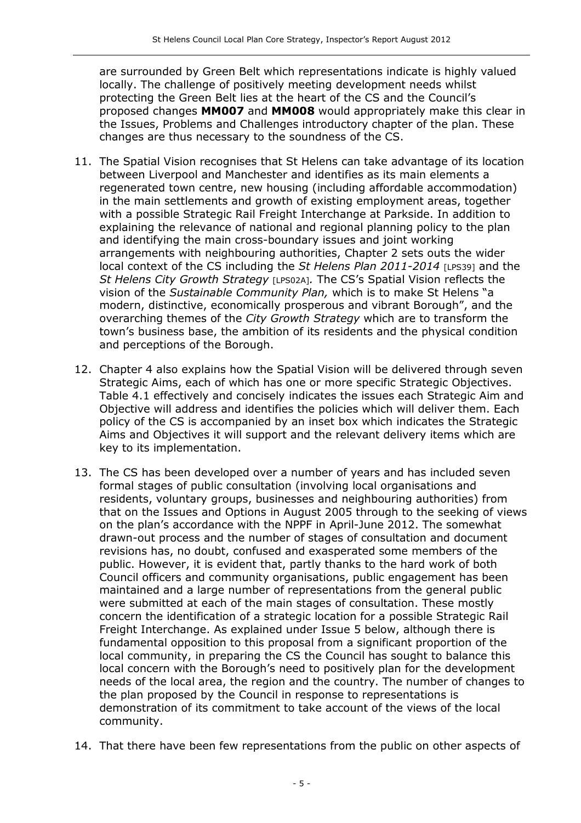are surrounded by Green Belt which representations indicate is highly valued locally. The challenge of positively meeting development needs whilst protecting the Green Belt lies at the heart of the CS and the Council's proposed changes MM007 and MM008 would appropriately make this clear in the Issues, Problems and Challenges introductory chapter of the plan. These changes are thus necessary to the soundness of the CS.

- 11. The Spatial Vision recognises that St Helens can take advantage of its location between Liverpool and Manchester and identifies as its main elements a regenerated town centre, new housing (including affordable accommodation) in the main settlements and growth of existing employment areas, together with a possible Strategic Rail Freight Interchange at Parkside. In addition to explaining the relevance of national and regional planning policy to the plan and identifying the main cross-boundary issues and joint working arrangements with neighbouring authorities, Chapter 2 sets outs the wider local context of the CS including the St Helens Plan  $2011$ - $2014$  [LPS39] and the St Helens City Growth Strategy [LPS02A]. The CS's Spatial Vision reflects the vision of the Sustainable Community Plan, which is to make St Helens "a modern, distinctive, economically prosperous and vibrant Borough", and the overarching themes of the City Growth Strategy which are to transform the town's business base, the ambition of its residents and the physical condition and perceptions of the Borough.
- 12. Chapter 4 also explains how the Spatial Vision will be delivered through seven Strategic Aims, each of which has one or more specific Strategic Objectives. Table 4.1 effectively and concisely indicates the issues each Strategic Aim and Objective will address and identifies the policies which will deliver them. Each policy of the CS is accompanied by an inset box which indicates the Strategic Aims and Objectives it will support and the relevant delivery items which are key to its implementation.
- 13. The CS has been developed over a number of years and has included seven formal stages of public consultation (involving local organisations and residents, voluntary groups, businesses and neighbouring authorities) from that on the Issues and Options in August 2005 through to the seeking of views on the plan's accordance with the NPPF in April-June 2012. The somewhat drawn-out process and the number of stages of consultation and document revisions has, no doubt, confused and exasperated some members of the public. However, it is evident that, partly thanks to the hard work of both Council officers and community organisations, public engagement has been maintained and a large number of representations from the general public were submitted at each of the main stages of consultation. These mostly concern the identification of a strategic location for a possible Strategic Rail Freight Interchange. As explained under Issue 5 below, although there is fundamental opposition to this proposal from a significant proportion of the local community, in preparing the CS the Council has sought to balance this local concern with the Borough's need to positively plan for the development needs of the local area, the region and the country. The number of changes to the plan proposed by the Council in response to representations is demonstration of its commitment to take account of the views of the local community.
- 14. That there have been few representations from the public on other aspects of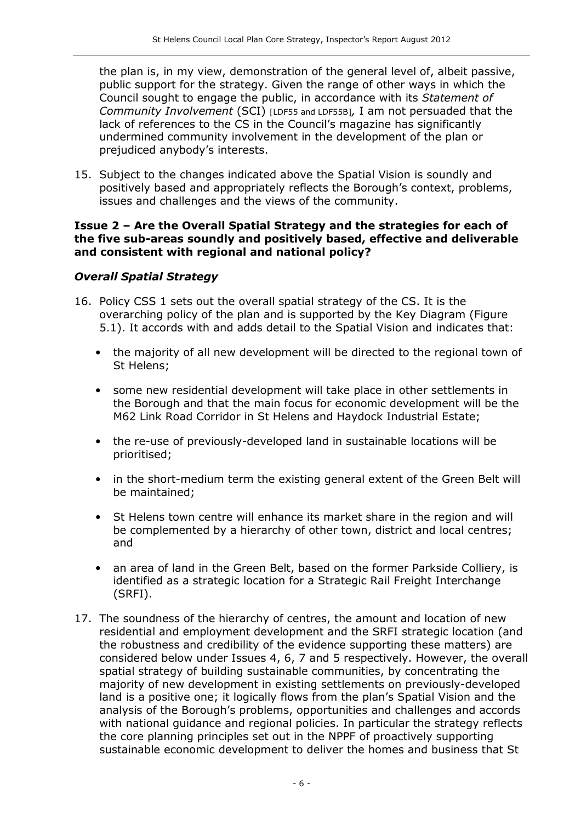the plan is, in my view, demonstration of the general level of, albeit passive, public support for the strategy. Given the range of other ways in which the Council sought to engage the public, in accordance with its Statement of Community Involvement (SCI) [LDF55 and LDF55B], I am not persuaded that the lack of references to the CS in the Council's magazine has significantly undermined community involvement in the development of the plan or prejudiced anybody's interests.

15. Subject to the changes indicated above the Spatial Vision is soundly and positively based and appropriately reflects the Borough's context, problems, issues and challenges and the views of the community.

#### Issue 2 – Are the Overall Spatial Strategy and the strategies for each of the five sub-areas soundly and positively based, effective and deliverable and consistent with regional and national policy?

#### Overall Spatial Strategy

- 16. Policy CSS 1 sets out the overall spatial strategy of the CS. It is the overarching policy of the plan and is supported by the Key Diagram (Figure 5.1). It accords with and adds detail to the Spatial Vision and indicates that:
	- the majority of all new development will be directed to the regional town of St Helens;
	- some new residential development will take place in other settlements in the Borough and that the main focus for economic development will be the M62 Link Road Corridor in St Helens and Haydock Industrial Estate;
	- the re-use of previously-developed land in sustainable locations will be prioritised;
	- in the short-medium term the existing general extent of the Green Belt will be maintained;
	- St Helens town centre will enhance its market share in the region and will be complemented by a hierarchy of other town, district and local centres; and
	- an area of land in the Green Belt, based on the former Parkside Colliery, is identified as a strategic location for a Strategic Rail Freight Interchange (SRFI).
- 17. The soundness of the hierarchy of centres, the amount and location of new residential and employment development and the SRFI strategic location (and the robustness and credibility of the evidence supporting these matters) are considered below under Issues 4, 6, 7 and 5 respectively. However, the overall spatial strategy of building sustainable communities, by concentrating the majority of new development in existing settlements on previously-developed land is a positive one; it logically flows from the plan's Spatial Vision and the analysis of the Borough's problems, opportunities and challenges and accords with national guidance and regional policies. In particular the strategy reflects the core planning principles set out in the NPPF of proactively supporting sustainable economic development to deliver the homes and business that St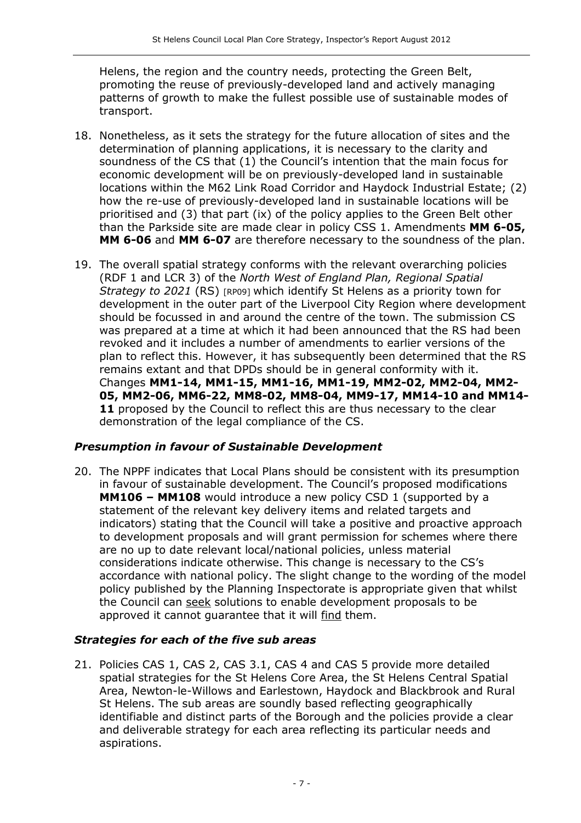Helens, the region and the country needs, protecting the Green Belt, promoting the reuse of previously-developed land and actively managing patterns of growth to make the fullest possible use of sustainable modes of transport.

- 18. Nonetheless, as it sets the strategy for the future allocation of sites and the determination of planning applications, it is necessary to the clarity and soundness of the CS that (1) the Council's intention that the main focus for economic development will be on previously-developed land in sustainable locations within the M62 Link Road Corridor and Haydock Industrial Estate; (2) how the re-use of previously-developed land in sustainable locations will be prioritised and (3) that part (ix) of the policy applies to the Green Belt other than the Parkside site are made clear in policy CSS 1. Amendments MM 6-05, MM 6-06 and MM 6-07 are therefore necessary to the soundness of the plan.
- 19. The overall spatial strategy conforms with the relevant overarching policies (RDF 1 and LCR 3) of the North West of England Plan, Regional Spatial Strategy to 2021 (RS) [RP09] which identify St Helens as a priority town for development in the outer part of the Liverpool City Region where development should be focussed in and around the centre of the town. The submission CS was prepared at a time at which it had been announced that the RS had been revoked and it includes a number of amendments to earlier versions of the plan to reflect this. However, it has subsequently been determined that the RS remains extant and that DPDs should be in general conformity with it. Changes MM1-14, MM1-15, MM1-16, MM1-19, MM2-02, MM2-04, MM2- 05, MM2-06, MM6-22, MM8-02, MM8-04, MM9-17, MM14-10 and MM14- 11 proposed by the Council to reflect this are thus necessary to the clear demonstration of the legal compliance of the CS.

## Presumption in favour of Sustainable Development

20. The NPPF indicates that Local Plans should be consistent with its presumption in favour of sustainable development. The Council's proposed modifications MM106 – MM108 would introduce a new policy CSD 1 (supported by a statement of the relevant key delivery items and related targets and indicators) stating that the Council will take a positive and proactive approach to development proposals and will grant permission for schemes where there are no up to date relevant local/national policies, unless material considerations indicate otherwise. This change is necessary to the CS's accordance with national policy. The slight change to the wording of the model policy published by the Planning Inspectorate is appropriate given that whilst the Council can seek solutions to enable development proposals to be approved it cannot guarantee that it will find them.

#### Strategies for each of the five sub areas

21. Policies CAS 1, CAS 2, CAS 3.1, CAS 4 and CAS 5 provide more detailed spatial strategies for the St Helens Core Area, the St Helens Central Spatial Area, Newton-le-Willows and Earlestown, Haydock and Blackbrook and Rural St Helens. The sub areas are soundly based reflecting geographically identifiable and distinct parts of the Borough and the policies provide a clear and deliverable strategy for each area reflecting its particular needs and aspirations.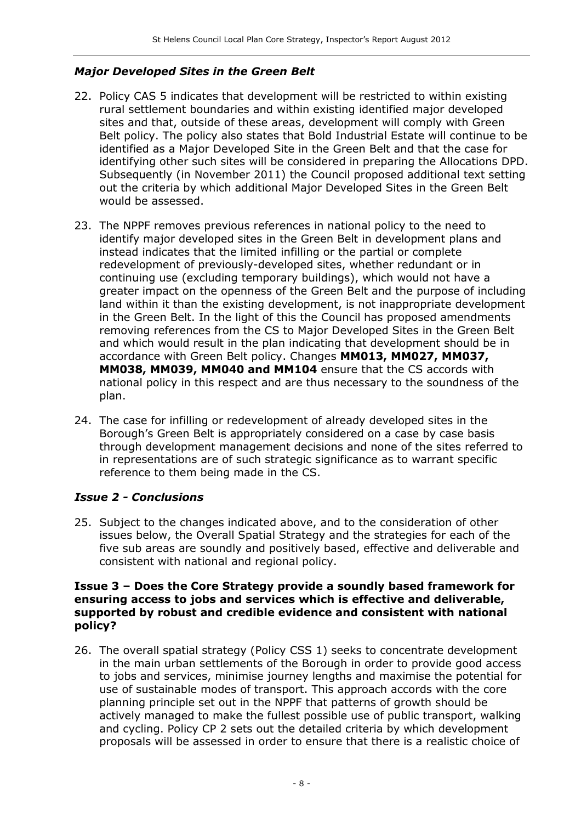## Major Developed Sites in the Green Belt

- 22. Policy CAS 5 indicates that development will be restricted to within existing rural settlement boundaries and within existing identified major developed sites and that, outside of these areas, development will comply with Green Belt policy. The policy also states that Bold Industrial Estate will continue to be identified as a Major Developed Site in the Green Belt and that the case for identifying other such sites will be considered in preparing the Allocations DPD. Subsequently (in November 2011) the Council proposed additional text setting out the criteria by which additional Major Developed Sites in the Green Belt would be assessed.
- 23. The NPPF removes previous references in national policy to the need to identify major developed sites in the Green Belt in development plans and instead indicates that the limited infilling or the partial or complete redevelopment of previously-developed sites, whether redundant or in continuing use (excluding temporary buildings), which would not have a greater impact on the openness of the Green Belt and the purpose of including land within it than the existing development, is not inappropriate development in the Green Belt. In the light of this the Council has proposed amendments removing references from the CS to Major Developed Sites in the Green Belt and which would result in the plan indicating that development should be in accordance with Green Belt policy. Changes MM013, MM027, MM037, MM038, MM039, MM040 and MM104 ensure that the CS accords with national policy in this respect and are thus necessary to the soundness of the plan.
- 24. The case for infilling or redevelopment of already developed sites in the Borough's Green Belt is appropriately considered on a case by case basis through development management decisions and none of the sites referred to in representations are of such strategic significance as to warrant specific reference to them being made in the CS.

#### Issue 2 - Conclusions

25. Subject to the changes indicated above, and to the consideration of other issues below, the Overall Spatial Strategy and the strategies for each of the five sub areas are soundly and positively based, effective and deliverable and consistent with national and regional policy.

#### Issue 3 – Does the Core Strategy provide a soundly based framework for ensuring access to jobs and services which is effective and deliverable, supported by robust and credible evidence and consistent with national policy?

26. The overall spatial strategy (Policy CSS 1) seeks to concentrate development in the main urban settlements of the Borough in order to provide good access to jobs and services, minimise journey lengths and maximise the potential for use of sustainable modes of transport. This approach accords with the core planning principle set out in the NPPF that patterns of growth should be actively managed to make the fullest possible use of public transport, walking and cycling. Policy CP 2 sets out the detailed criteria by which development proposals will be assessed in order to ensure that there is a realistic choice of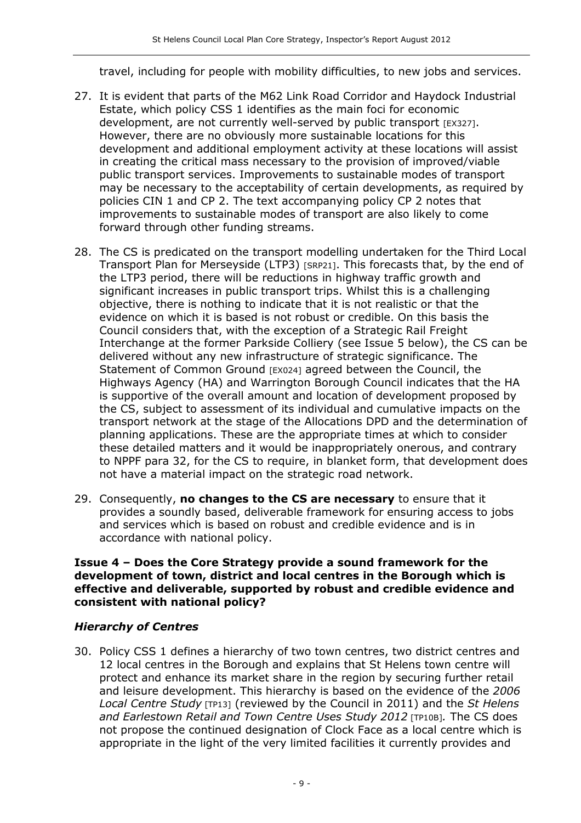travel, including for people with mobility difficulties, to new jobs and services.

- 27. It is evident that parts of the M62 Link Road Corridor and Haydock Industrial Estate, which policy CSS 1 identifies as the main foci for economic development, are not currently well-served by public transport [EX327]. However, there are no obviously more sustainable locations for this development and additional employment activity at these locations will assist in creating the critical mass necessary to the provision of improved/viable public transport services. Improvements to sustainable modes of transport may be necessary to the acceptability of certain developments, as required by policies CIN 1 and CP 2. The text accompanying policy CP 2 notes that improvements to sustainable modes of transport are also likely to come forward through other funding streams.
- 28. The CS is predicated on the transport modelling undertaken for the Third Local Transport Plan for Merseyside (LTP3) [SRP21]. This forecasts that, by the end of the LTP3 period, there will be reductions in highway traffic growth and significant increases in public transport trips. Whilst this is a challenging objective, there is nothing to indicate that it is not realistic or that the evidence on which it is based is not robust or credible. On this basis the Council considers that, with the exception of a Strategic Rail Freight Interchange at the former Parkside Colliery (see Issue 5 below), the CS can be delivered without any new infrastructure of strategic significance. The Statement of Common Ground [EX024] agreed between the Council, the Highways Agency (HA) and Warrington Borough Council indicates that the HA is supportive of the overall amount and location of development proposed by the CS, subject to assessment of its individual and cumulative impacts on the transport network at the stage of the Allocations DPD and the determination of planning applications. These are the appropriate times at which to consider these detailed matters and it would be inappropriately onerous, and contrary to NPPF para 32, for the CS to require, in blanket form, that development does not have a material impact on the strategic road network.
- 29. Consequently, no changes to the  $CS$  are necessary to ensure that it provides a soundly based, deliverable framework for ensuring access to jobs and services which is based on robust and credible evidence and is in accordance with national policy.

#### Issue 4 – Does the Core Strategy provide a sound framework for the development of town, district and local centres in the Borough which is effective and deliverable, supported by robust and credible evidence and consistent with national policy?

#### Hierarchy of Centres

30. Policy CSS 1 defines a hierarchy of two town centres, two district centres and 12 local centres in the Borough and explains that St Helens town centre will protect and enhance its market share in the region by securing further retail and leisure development. This hierarchy is based on the evidence of the 2006 Local Centre Study [TP13] (reviewed by the Council in 2011) and the St Helens and Earlestown Retail and Town Centre Uses Study 2012 [TP10B]. The CS does not propose the continued designation of Clock Face as a local centre which is appropriate in the light of the very limited facilities it currently provides and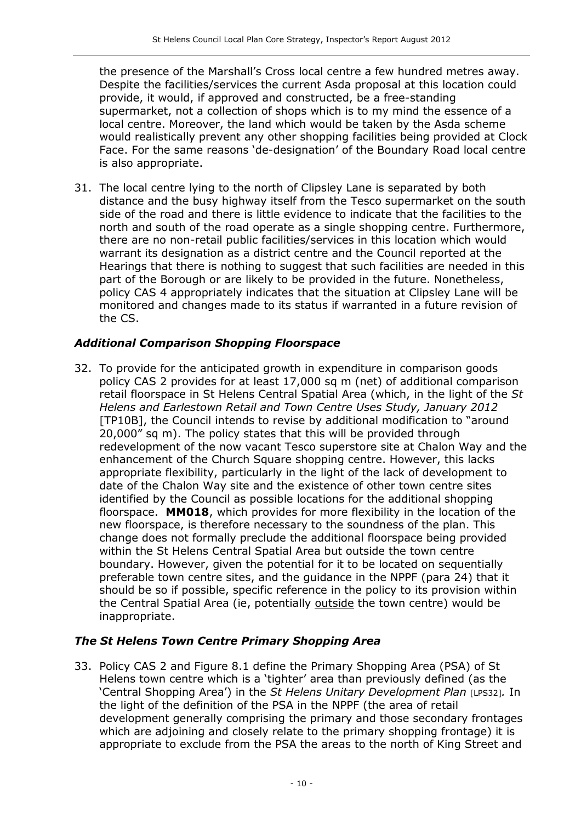the presence of the Marshall's Cross local centre a few hundred metres away. Despite the facilities/services the current Asda proposal at this location could provide, it would, if approved and constructed, be a free-standing supermarket, not a collection of shops which is to my mind the essence of a local centre. Moreover, the land which would be taken by the Asda scheme would realistically prevent any other shopping facilities being provided at Clock Face. For the same reasons 'de-designation' of the Boundary Road local centre is also appropriate.

31. The local centre lying to the north of Clipsley Lane is separated by both distance and the busy highway itself from the Tesco supermarket on the south side of the road and there is little evidence to indicate that the facilities to the north and south of the road operate as a single shopping centre. Furthermore, there are no non-retail public facilities/services in this location which would warrant its designation as a district centre and the Council reported at the Hearings that there is nothing to suggest that such facilities are needed in this part of the Borough or are likely to be provided in the future. Nonetheless, policy CAS 4 appropriately indicates that the situation at Clipsley Lane will be monitored and changes made to its status if warranted in a future revision of the CS.

## Additional Comparison Shopping Floorspace

32. To provide for the anticipated growth in expenditure in comparison goods policy CAS 2 provides for at least 17,000 sq m (net) of additional comparison retail floorspace in St Helens Central Spatial Area (which, in the light of the St Helens and Earlestown Retail and Town Centre Uses Study, January 2012 [TP10B], the Council intends to revise by additional modification to "around 20,000" sq m). The policy states that this will be provided through redevelopment of the now vacant Tesco superstore site at Chalon Way and the enhancement of the Church Square shopping centre. However, this lacks appropriate flexibility, particularly in the light of the lack of development to date of the Chalon Way site and the existence of other town centre sites identified by the Council as possible locations for the additional shopping floorspace. MM018, which provides for more flexibility in the location of the new floorspace, is therefore necessary to the soundness of the plan. This change does not formally preclude the additional floorspace being provided within the St Helens Central Spatial Area but outside the town centre boundary. However, given the potential for it to be located on sequentially preferable town centre sites, and the guidance in the NPPF (para 24) that it should be so if possible, specific reference in the policy to its provision within the Central Spatial Area (ie, potentially outside the town centre) would be inappropriate.

## The St Helens Town Centre Primary Shopping Area

33. Policy CAS 2 and Figure 8.1 define the Primary Shopping Area (PSA) of St Helens town centre which is a 'tighter' area than previously defined (as the 'Central Shopping Area') in the St Helens Unitary Development Plan [LPS32]. In the light of the definition of the PSA in the NPPF (the area of retail development generally comprising the primary and those secondary frontages which are adjoining and closely relate to the primary shopping frontage) it is appropriate to exclude from the PSA the areas to the north of King Street and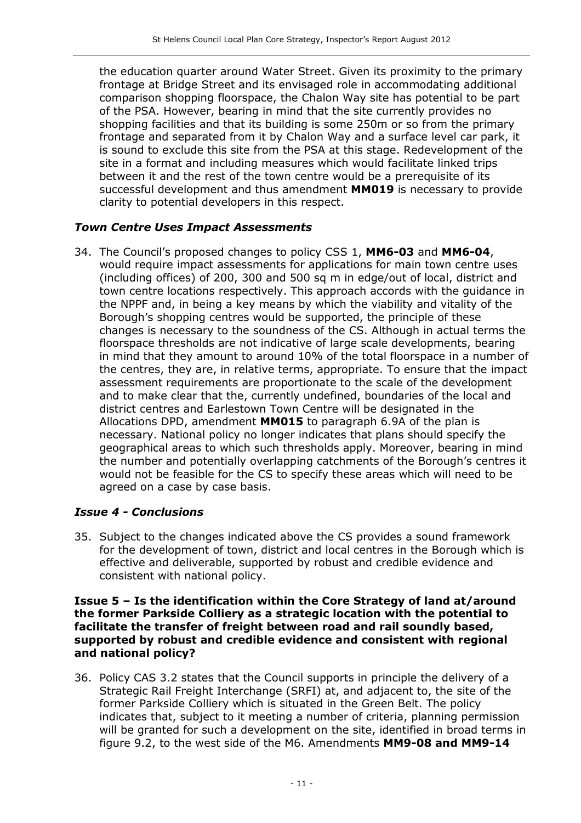the education quarter around Water Street. Given its proximity to the primary frontage at Bridge Street and its envisaged role in accommodating additional comparison shopping floorspace, the Chalon Way site has potential to be part of the PSA. However, bearing in mind that the site currently provides no shopping facilities and that its building is some 250m or so from the primary frontage and separated from it by Chalon Way and a surface level car park, it is sound to exclude this site from the PSA at this stage. Redevelopment of the site in a format and including measures which would facilitate linked trips between it and the rest of the town centre would be a prerequisite of its successful development and thus amendment MM019 is necessary to provide clarity to potential developers in this respect.

#### Town Centre Uses Impact Assessments

34. The Council's proposed changes to policy CSS 1, MM6-03 and MM6-04, would require impact assessments for applications for main town centre uses (including offices) of 200, 300 and 500 sq m in edge/out of local, district and town centre locations respectively. This approach accords with the guidance in the NPPF and, in being a key means by which the viability and vitality of the Borough's shopping centres would be supported, the principle of these changes is necessary to the soundness of the CS. Although in actual terms the floorspace thresholds are not indicative of large scale developments, bearing in mind that they amount to around 10% of the total floorspace in a number of the centres, they are, in relative terms, appropriate. To ensure that the impact assessment requirements are proportionate to the scale of the development and to make clear that the, currently undefined, boundaries of the local and district centres and Earlestown Town Centre will be designated in the Allocations DPD, amendment MM015 to paragraph 6.9A of the plan is necessary. National policy no longer indicates that plans should specify the geographical areas to which such thresholds apply. Moreover, bearing in mind the number and potentially overlapping catchments of the Borough's centres it would not be feasible for the CS to specify these areas which will need to be agreed on a case by case basis.

#### Issue 4 - Conclusions

35. Subject to the changes indicated above the CS provides a sound framework for the development of town, district and local centres in the Borough which is effective and deliverable, supported by robust and credible evidence and consistent with national policy.

#### Issue 5 – Is the identification within the Core Strategy of land at/around the former Parkside Colliery as a strategic location with the potential to facilitate the transfer of freight between road and rail soundly based, supported by robust and credible evidence and consistent with regional and national policy?

36. Policy CAS 3.2 states that the Council supports in principle the delivery of a Strategic Rail Freight Interchange (SRFI) at, and adjacent to, the site of the former Parkside Colliery which is situated in the Green Belt. The policy indicates that, subject to it meeting a number of criteria, planning permission will be granted for such a development on the site, identified in broad terms in figure 9.2, to the west side of the M6. Amendments MM9-08 and MM9-14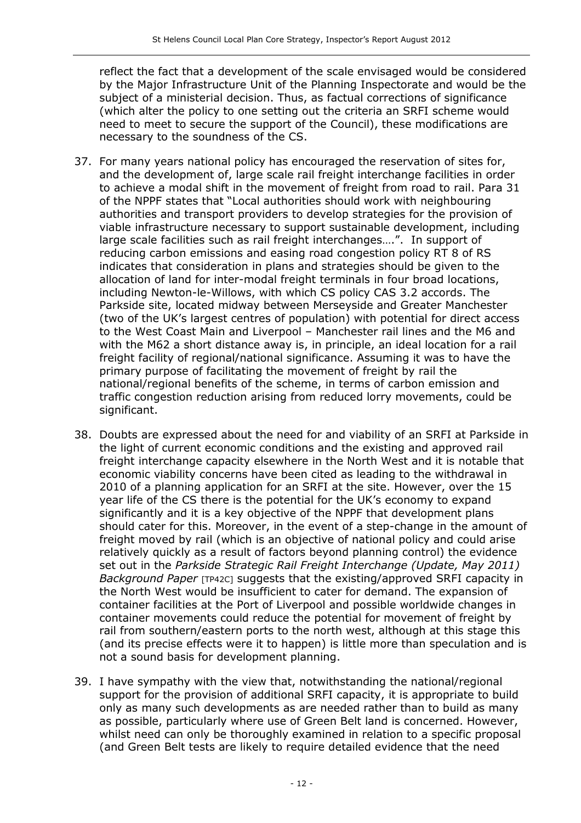reflect the fact that a development of the scale envisaged would be considered by the Major Infrastructure Unit of the Planning Inspectorate and would be the subject of a ministerial decision. Thus, as factual corrections of significance (which alter the policy to one setting out the criteria an SRFI scheme would need to meet to secure the support of the Council), these modifications are necessary to the soundness of the CS.

- 37. For many years national policy has encouraged the reservation of sites for, and the development of, large scale rail freight interchange facilities in order to achieve a modal shift in the movement of freight from road to rail. Para 31 of the NPPF states that "Local authorities should work with neighbouring authorities and transport providers to develop strategies for the provision of viable infrastructure necessary to support sustainable development, including large scale facilities such as rail freight interchanges….". In support of reducing carbon emissions and easing road congestion policy RT 8 of RS indicates that consideration in plans and strategies should be given to the allocation of land for inter-modal freight terminals in four broad locations, including Newton-le-Willows, with which CS policy CAS 3.2 accords. The Parkside site, located midway between Merseyside and Greater Manchester (two of the UK's largest centres of population) with potential for direct access to the West Coast Main and Liverpool – Manchester rail lines and the M6 and with the M62 a short distance away is, in principle, an ideal location for a rail freight facility of regional/national significance. Assuming it was to have the primary purpose of facilitating the movement of freight by rail the national/regional benefits of the scheme, in terms of carbon emission and traffic congestion reduction arising from reduced lorry movements, could be significant.
- 38. Doubts are expressed about the need for and viability of an SRFI at Parkside in the light of current economic conditions and the existing and approved rail freight interchange capacity elsewhere in the North West and it is notable that economic viability concerns have been cited as leading to the withdrawal in 2010 of a planning application for an SRFI at the site. However, over the 15 year life of the CS there is the potential for the UK's economy to expand significantly and it is a key objective of the NPPF that development plans should cater for this. Moreover, in the event of a step-change in the amount of freight moved by rail (which is an objective of national policy and could arise relatively quickly as a result of factors beyond planning control) the evidence set out in the Parkside Strategic Rail Freight Interchange (Update, May 2011) Background Paper [TP42C] suggests that the existing/approved SRFI capacity in the North West would be insufficient to cater for demand. The expansion of container facilities at the Port of Liverpool and possible worldwide changes in container movements could reduce the potential for movement of freight by rail from southern/eastern ports to the north west, although at this stage this (and its precise effects were it to happen) is little more than speculation and is not a sound basis for development planning.
- 39. I have sympathy with the view that, notwithstanding the national/regional support for the provision of additional SRFI capacity, it is appropriate to build only as many such developments as are needed rather than to build as many as possible, particularly where use of Green Belt land is concerned. However, whilst need can only be thoroughly examined in relation to a specific proposal (and Green Belt tests are likely to require detailed evidence that the need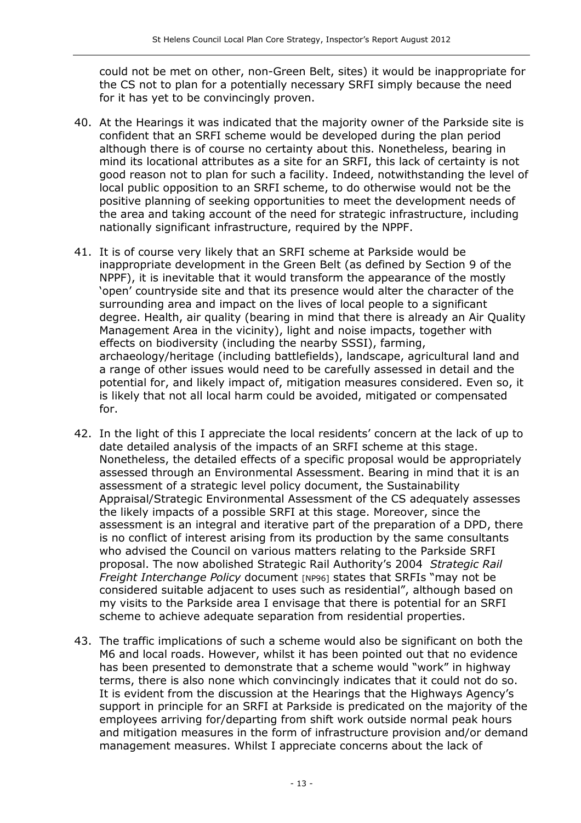could not be met on other, non-Green Belt, sites) it would be inappropriate for the CS not to plan for a potentially necessary SRFI simply because the need for it has yet to be convincingly proven.

- 40. At the Hearings it was indicated that the majority owner of the Parkside site is confident that an SRFI scheme would be developed during the plan period although there is of course no certainty about this. Nonetheless, bearing in mind its locational attributes as a site for an SRFI, this lack of certainty is not good reason not to plan for such a facility. Indeed, notwithstanding the level of local public opposition to an SRFI scheme, to do otherwise would not be the positive planning of seeking opportunities to meet the development needs of the area and taking account of the need for strategic infrastructure, including nationally significant infrastructure, required by the NPPF.
- 41. It is of course very likely that an SRFI scheme at Parkside would be inappropriate development in the Green Belt (as defined by Section 9 of the NPPF), it is inevitable that it would transform the appearance of the mostly 'open' countryside site and that its presence would alter the character of the surrounding area and impact on the lives of local people to a significant degree. Health, air quality (bearing in mind that there is already an Air Quality Management Area in the vicinity), light and noise impacts, together with effects on biodiversity (including the nearby SSSI), farming, archaeology/heritage (including battlefields), landscape, agricultural land and a range of other issues would need to be carefully assessed in detail and the potential for, and likely impact of, mitigation measures considered. Even so, it is likely that not all local harm could be avoided, mitigated or compensated for.
- 42. In the light of this I appreciate the local residents' concern at the lack of up to date detailed analysis of the impacts of an SRFI scheme at this stage. Nonetheless, the detailed effects of a specific proposal would be appropriately assessed through an Environmental Assessment. Bearing in mind that it is an assessment of a strategic level policy document, the Sustainability Appraisal/Strategic Environmental Assessment of the CS adequately assesses the likely impacts of a possible SRFI at this stage. Moreover, since the assessment is an integral and iterative part of the preparation of a DPD, there is no conflict of interest arising from its production by the same consultants who advised the Council on various matters relating to the Parkside SRFI proposal. The now abolished Strategic Rail Authority's 2004 Strategic Rail Freight Interchange Policy document [NP96] states that SRFIs "may not be considered suitable adjacent to uses such as residential", although based on my visits to the Parkside area I envisage that there is potential for an SRFI scheme to achieve adequate separation from residential properties.
- 43. The traffic implications of such a scheme would also be significant on both the M6 and local roads. However, whilst it has been pointed out that no evidence has been presented to demonstrate that a scheme would "work" in highway terms, there is also none which convincingly indicates that it could not do so. It is evident from the discussion at the Hearings that the Highways Agency's support in principle for an SRFI at Parkside is predicated on the majority of the employees arriving for/departing from shift work outside normal peak hours and mitigation measures in the form of infrastructure provision and/or demand management measures. Whilst I appreciate concerns about the lack of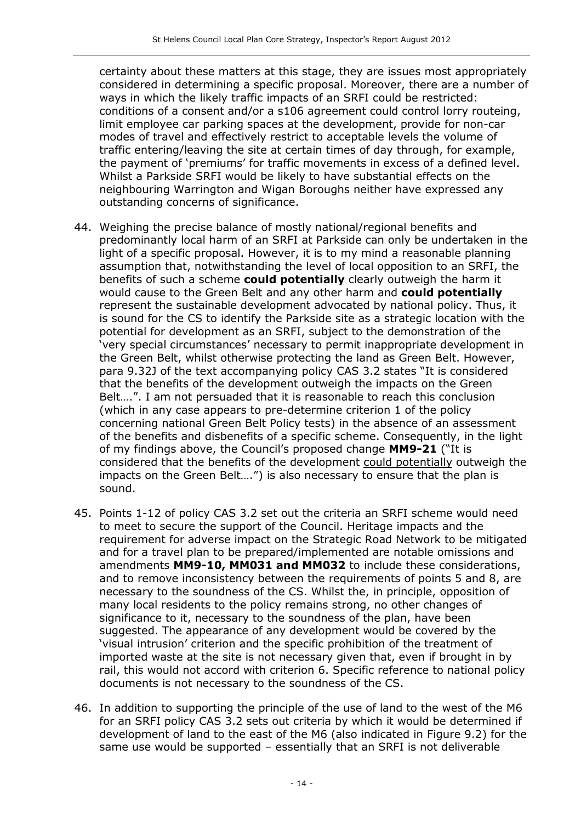certainty about these matters at this stage, they are issues most appropriately considered in determining a specific proposal. Moreover, there are a number of ways in which the likely traffic impacts of an SRFI could be restricted: conditions of a consent and/or a s106 agreement could control lorry routeing, limit employee car parking spaces at the development, provide for non-car modes of travel and effectively restrict to acceptable levels the volume of traffic entering/leaving the site at certain times of day through, for example, the payment of 'premiums' for traffic movements in excess of a defined level. Whilst a Parkside SRFI would be likely to have substantial effects on the neighbouring Warrington and Wigan Boroughs neither have expressed any outstanding concerns of significance.

- 44. Weighing the precise balance of mostly national/regional benefits and predominantly local harm of an SRFI at Parkside can only be undertaken in the light of a specific proposal. However, it is to my mind a reasonable planning assumption that, notwithstanding the level of local opposition to an SRFI, the benefits of such a scheme could potentially clearly outweigh the harm it would cause to the Green Belt and any other harm and could potentially represent the sustainable development advocated by national policy. Thus, it is sound for the CS to identify the Parkside site as a strategic location with the potential for development as an SRFI, subject to the demonstration of the 'very special circumstances' necessary to permit inappropriate development in the Green Belt, whilst otherwise protecting the land as Green Belt. However, para 9.32J of the text accompanying policy CAS 3.2 states "It is considered that the benefits of the development outweigh the impacts on the Green Belt….". I am not persuaded that it is reasonable to reach this conclusion (which in any case appears to pre-determine criterion 1 of the policy concerning national Green Belt Policy tests) in the absence of an assessment of the benefits and disbenefits of a specific scheme. Consequently, in the light of my findings above, the Council's proposed change MM9-21 ("It is considered that the benefits of the development could potentially outweigh the impacts on the Green Belt….") is also necessary to ensure that the plan is sound.
- 45. Points 1-12 of policy CAS 3.2 set out the criteria an SRFI scheme would need to meet to secure the support of the Council. Heritage impacts and the requirement for adverse impact on the Strategic Road Network to be mitigated and for a travel plan to be prepared/implemented are notable omissions and amendments MM9-10, MM031 and MM032 to include these considerations, and to remove inconsistency between the requirements of points 5 and 8, are necessary to the soundness of the CS. Whilst the, in principle, opposition of many local residents to the policy remains strong, no other changes of significance to it, necessary to the soundness of the plan, have been suggested. The appearance of any development would be covered by the 'visual intrusion' criterion and the specific prohibition of the treatment of imported waste at the site is not necessary given that, even if brought in by rail, this would not accord with criterion 6. Specific reference to national policy documents is not necessary to the soundness of the CS.
- 46. In addition to supporting the principle of the use of land to the west of the M6 for an SRFI policy CAS 3.2 sets out criteria by which it would be determined if development of land to the east of the M6 (also indicated in Figure 9.2) for the same use would be supported – essentially that an SRFI is not deliverable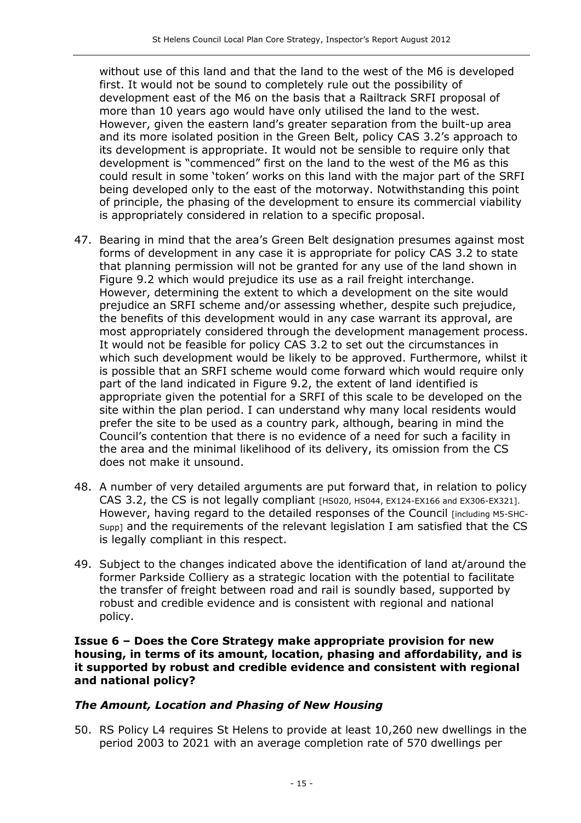without use of this land and that the land to the west of the M6 is developed first. It would not be sound to completely rule out the possibility of development east of the M6 on the basis that a Railtrack SRFI proposal of more than 10 years ago would have only utilised the land to the west. However, given the eastern land's greater separation from the built-up area and its more isolated position in the Green Belt, policy CAS 3.2's approach to its development is appropriate. It would not be sensible to require only that development is "commenced" first on the land to the west of the M6 as this could result in some 'token' works on this land with the major part of the SRFI being developed only to the east of the motorway. Notwithstanding this point of principle, the phasing of the development to ensure its commercial viability is appropriately considered in relation to a specific proposal.

- 47. Bearing in mind that the area's Green Belt designation presumes against most forms of development in any case it is appropriate for policy CAS 3.2 to state that planning permission will not be granted for any use of the land shown in Figure 9.2 which would prejudice its use as a rail freight interchange. However, determining the extent to which a development on the site would prejudice an SRFI scheme and/or assessing whether, despite such prejudice, the benefits of this development would in any case warrant its approval, are most appropriately considered through the development management process. It would not be feasible for policy CAS 3.2 to set out the circumstances in which such development would be likely to be approved. Furthermore, whilst it is possible that an SRFI scheme would come forward which would require only part of the land indicated in Figure 9.2, the extent of land identified is appropriate given the potential for a SRFI of this scale to be developed on the site within the plan period. I can understand why many local residents would prefer the site to be used as a country park, although, bearing in mind the Council's contention that there is no evidence of a need for such a facility in the area and the minimal likelihood of its delivery, its omission from the CS does not make it unsound.
- 48. A number of very detailed arguments are put forward that, in relation to policy CAS 3.2, the CS is not legally compliant [HS020, HS044, EX124-EX166 and EX306-EX321]. However, having regard to the detailed responses of the Council [including M5-SHC-Supp] and the requirements of the relevant legislation I am satisfied that the CS is legally compliant in this respect.
- 49. Subject to the changes indicated above the identification of land at/around the former Parkside Colliery as a strategic location with the potential to facilitate the transfer of freight between road and rail is soundly based, supported by robust and credible evidence and is consistent with regional and national policy.

Issue 6 – Does the Core Strategy make appropriate provision for new housing, in terms of its amount, location, phasing and affordability, and is it supported by robust and credible evidence and consistent with regional and national policy?

#### The Amount, Location and Phasing of New Housing

50. RS Policy L4 requires St Helens to provide at least 10,260 new dwellings in the period 2003 to 2021 with an average completion rate of 570 dwellings per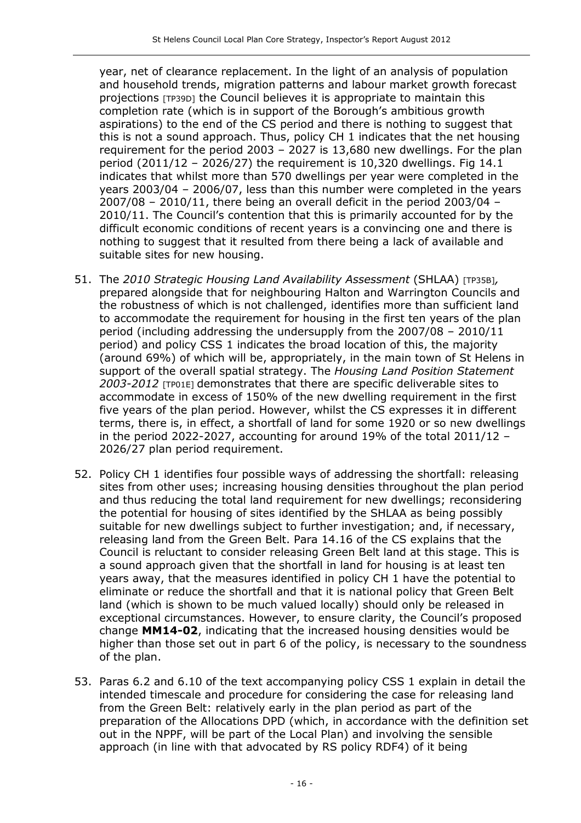year, net of clearance replacement. In the light of an analysis of population and household trends, migration patterns and labour market growth forecast projections [TP39D] the Council believes it is appropriate to maintain this completion rate (which is in support of the Borough's ambitious growth aspirations) to the end of the CS period and there is nothing to suggest that this is not a sound approach. Thus, policy CH 1 indicates that the net housing requirement for the period 2003 – 2027 is 13,680 new dwellings. For the plan period (2011/12 – 2026/27) the requirement is 10,320 dwellings. Fig 14.1 indicates that whilst more than 570 dwellings per year were completed in the years 2003/04 – 2006/07, less than this number were completed in the years  $2007/08 - 2010/11$ , there being an overall deficit in the period 2003/04 – 2010/11. The Council's contention that this is primarily accounted for by the difficult economic conditions of recent years is a convincing one and there is nothing to suggest that it resulted from there being a lack of available and suitable sites for new housing.

- 51. The 2010 Strategic Housing Land Availability Assessment (SHLAA) [TP35B], prepared alongside that for neighbouring Halton and Warrington Councils and the robustness of which is not challenged, identifies more than sufficient land to accommodate the requirement for housing in the first ten years of the plan period (including addressing the undersupply from the 2007/08 – 2010/11 period) and policy CSS 1 indicates the broad location of this, the majority (around 69%) of which will be, appropriately, in the main town of St Helens in support of the overall spatial strategy. The Housing Land Position Statement 2003-2012 [TP01E] demonstrates that there are specific deliverable sites to accommodate in excess of 150% of the new dwelling requirement in the first five years of the plan period. However, whilst the CS expresses it in different terms, there is, in effect, a shortfall of land for some 1920 or so new dwellings in the period 2022-2027, accounting for around 19% of the total 2011/12 – 2026/27 plan period requirement.
- 52. Policy CH 1 identifies four possible ways of addressing the shortfall: releasing sites from other uses; increasing housing densities throughout the plan period and thus reducing the total land requirement for new dwellings; reconsidering the potential for housing of sites identified by the SHLAA as being possibly suitable for new dwellings subject to further investigation; and, if necessary, releasing land from the Green Belt. Para 14.16 of the CS explains that the Council is reluctant to consider releasing Green Belt land at this stage. This is a sound approach given that the shortfall in land for housing is at least ten years away, that the measures identified in policy CH 1 have the potential to eliminate or reduce the shortfall and that it is national policy that Green Belt land (which is shown to be much valued locally) should only be released in exceptional circumstances. However, to ensure clarity, the Council's proposed change MM14-02, indicating that the increased housing densities would be higher than those set out in part 6 of the policy, is necessary to the soundness of the plan.
- 53. Paras 6.2 and 6.10 of the text accompanying policy CSS 1 explain in detail the intended timescale and procedure for considering the case for releasing land from the Green Belt: relatively early in the plan period as part of the preparation of the Allocations DPD (which, in accordance with the definition set out in the NPPF, will be part of the Local Plan) and involving the sensible approach (in line with that advocated by RS policy RDF4) of it being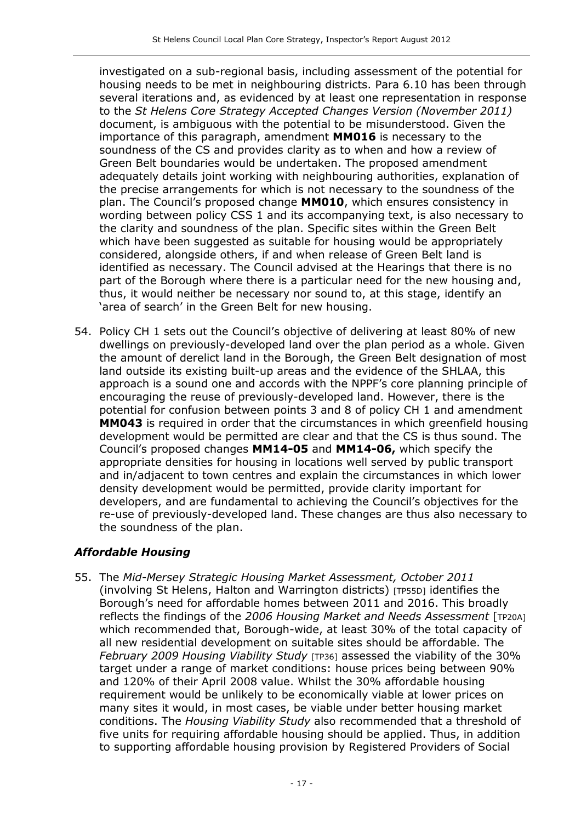investigated on a sub-regional basis, including assessment of the potential for housing needs to be met in neighbouring districts. Para 6.10 has been through several iterations and, as evidenced by at least one representation in response to the St Helens Core Strategy Accepted Changes Version (November 2011) document, is ambiguous with the potential to be misunderstood. Given the importance of this paragraph, amendment MM016 is necessary to the soundness of the CS and provides clarity as to when and how a review of Green Belt boundaries would be undertaken. The proposed amendment adequately details joint working with neighbouring authorities, explanation of the precise arrangements for which is not necessary to the soundness of the plan. The Council's proposed change MM010, which ensures consistency in wording between policy CSS 1 and its accompanying text, is also necessary to the clarity and soundness of the plan. Specific sites within the Green Belt which have been suggested as suitable for housing would be appropriately considered, alongside others, if and when release of Green Belt land is identified as necessary. The Council advised at the Hearings that there is no part of the Borough where there is a particular need for the new housing and, thus, it would neither be necessary nor sound to, at this stage, identify an 'area of search' in the Green Belt for new housing.

54. Policy CH 1 sets out the Council's objective of delivering at least 80% of new dwellings on previously-developed land over the plan period as a whole. Given the amount of derelict land in the Borough, the Green Belt designation of most land outside its existing built-up areas and the evidence of the SHLAA, this approach is a sound one and accords with the NPPF's core planning principle of encouraging the reuse of previously-developed land. However, there is the potential for confusion between points 3 and 8 of policy CH 1 and amendment MM043 is required in order that the circumstances in which greenfield housing development would be permitted are clear and that the CS is thus sound. The Council's proposed changes MM14-05 and MM14-06, which specify the appropriate densities for housing in locations well served by public transport and in/adjacent to town centres and explain the circumstances in which lower density development would be permitted, provide clarity important for developers, and are fundamental to achieving the Council's objectives for the re-use of previously-developed land. These changes are thus also necessary to the soundness of the plan.

## Affordable Housing

55. The Mid-Mersey Strategic Housing Market Assessment, October 2011 (involving St Helens, Halton and Warrington districts) [TP55D] identifies the Borough's need for affordable homes between 2011 and 2016. This broadly reflects the findings of the 2006 Housing Market and Needs Assessment [TP20A] which recommended that, Borough-wide, at least 30% of the total capacity of all new residential development on suitable sites should be affordable. The February 2009 Housing Viability Study [TP36] assessed the viability of the 30% target under a range of market conditions: house prices being between 90% and 120% of their April 2008 value. Whilst the 30% affordable housing requirement would be unlikely to be economically viable at lower prices on many sites it would, in most cases, be viable under better housing market conditions. The Housing Viability Study also recommended that a threshold of five units for requiring affordable housing should be applied. Thus, in addition to supporting affordable housing provision by Registered Providers of Social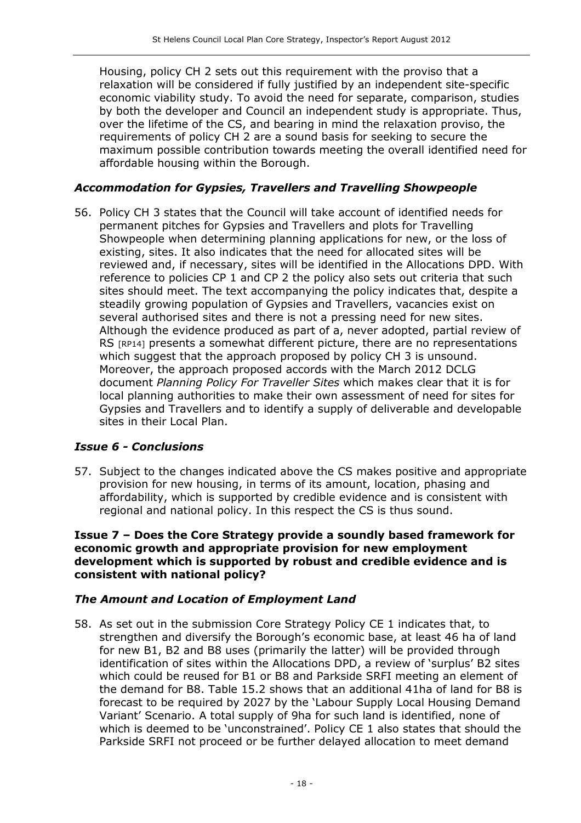Housing, policy CH 2 sets out this requirement with the proviso that a relaxation will be considered if fully justified by an independent site-specific economic viability study. To avoid the need for separate, comparison, studies by both the developer and Council an independent study is appropriate. Thus, over the lifetime of the CS, and bearing in mind the relaxation proviso, the requirements of policy CH 2 are a sound basis for seeking to secure the maximum possible contribution towards meeting the overall identified need for affordable housing within the Borough.

#### Accommodation for Gypsies, Travellers and Travelling Showpeople

56. Policy CH 3 states that the Council will take account of identified needs for permanent pitches for Gypsies and Travellers and plots for Travelling Showpeople when determining planning applications for new, or the loss of existing, sites. It also indicates that the need for allocated sites will be reviewed and, if necessary, sites will be identified in the Allocations DPD. With reference to policies CP 1 and CP 2 the policy also sets out criteria that such sites should meet. The text accompanying the policy indicates that, despite a steadily growing population of Gypsies and Travellers, vacancies exist on several authorised sites and there is not a pressing need for new sites. Although the evidence produced as part of a, never adopted, partial review of RS [RP14] presents a somewhat different picture, there are no representations which suggest that the approach proposed by policy CH 3 is unsound. Moreover, the approach proposed accords with the March 2012 DCLG document Planning Policy For Traveller Sites which makes clear that it is for local planning authorities to make their own assessment of need for sites for Gypsies and Travellers and to identify a supply of deliverable and developable sites in their Local Plan.

## Issue 6 - Conclusions

57. Subject to the changes indicated above the CS makes positive and appropriate provision for new housing, in terms of its amount, location, phasing and affordability, which is supported by credible evidence and is consistent with regional and national policy. In this respect the CS is thus sound.

#### Issue 7 – Does the Core Strategy provide a soundly based framework for economic growth and appropriate provision for new employment development which is supported by robust and credible evidence and is consistent with national policy?

#### The Amount and Location of Employment Land

58. As set out in the submission Core Strategy Policy CE 1 indicates that, to strengthen and diversify the Borough's economic base, at least 46 ha of land for new B1, B2 and B8 uses (primarily the latter) will be provided through identification of sites within the Allocations DPD, a review of 'surplus' B2 sites which could be reused for B1 or B8 and Parkside SRFI meeting an element of the demand for B8. Table 15.2 shows that an additional 41ha of land for B8 is forecast to be required by 2027 by the 'Labour Supply Local Housing Demand Variant' Scenario. A total supply of 9ha for such land is identified, none of which is deemed to be 'unconstrained'. Policy CE 1 also states that should the Parkside SRFI not proceed or be further delayed allocation to meet demand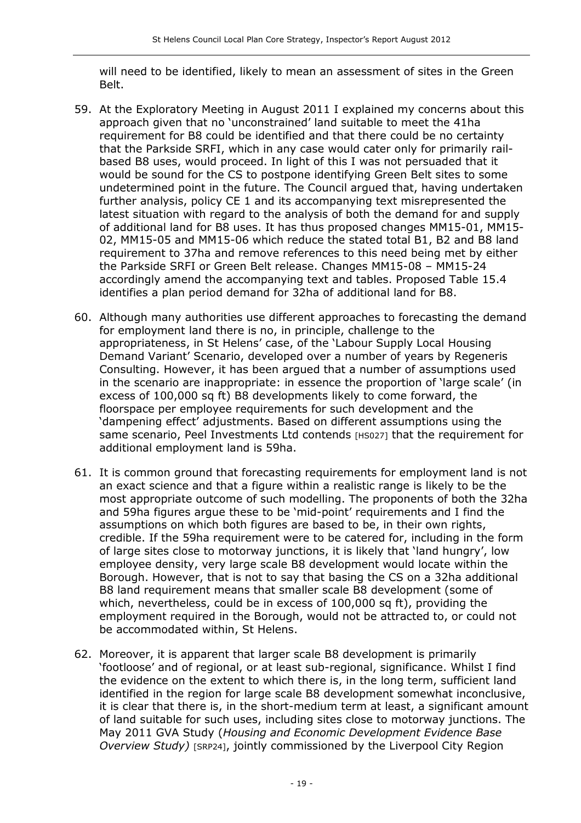will need to be identified, likely to mean an assessment of sites in the Green Belt.

- 59. At the Exploratory Meeting in August 2011 I explained my concerns about this approach given that no 'unconstrained' land suitable to meet the 41ha requirement for B8 could be identified and that there could be no certainty that the Parkside SRFI, which in any case would cater only for primarily railbased B8 uses, would proceed. In light of this I was not persuaded that it would be sound for the CS to postpone identifying Green Belt sites to some undetermined point in the future. The Council argued that, having undertaken further analysis, policy CE 1 and its accompanying text misrepresented the latest situation with regard to the analysis of both the demand for and supply of additional land for B8 uses. It has thus proposed changes MM15-01, MM15- 02, MM15-05 and MM15-06 which reduce the stated total B1, B2 and B8 land requirement to 37ha and remove references to this need being met by either the Parkside SRFI or Green Belt release. Changes MM15-08 – MM15-24 accordingly amend the accompanying text and tables. Proposed Table 15.4 identifies a plan period demand for 32ha of additional land for B8.
- 60. Although many authorities use different approaches to forecasting the demand for employment land there is no, in principle, challenge to the appropriateness, in St Helens' case, of the 'Labour Supply Local Housing Demand Variant' Scenario, developed over a number of years by Regeneris Consulting. However, it has been argued that a number of assumptions used in the scenario are inappropriate: in essence the proportion of 'large scale' (in excess of 100,000 sq ft) B8 developments likely to come forward, the floorspace per employee requirements for such development and the 'dampening effect' adjustments. Based on different assumptions using the same scenario, Peel Investments Ltd contends [HS027] that the requirement for additional employment land is 59ha.
- 61. It is common ground that forecasting requirements for employment land is not an exact science and that a figure within a realistic range is likely to be the most appropriate outcome of such modelling. The proponents of both the 32ha and 59ha figures argue these to be 'mid-point' requirements and I find the assumptions on which both figures are based to be, in their own rights, credible. If the 59ha requirement were to be catered for, including in the form of large sites close to motorway junctions, it is likely that 'land hungry', low employee density, very large scale B8 development would locate within the Borough. However, that is not to say that basing the CS on a 32ha additional B8 land requirement means that smaller scale B8 development (some of which, nevertheless, could be in excess of 100,000 sq ft), providing the employment required in the Borough, would not be attracted to, or could not be accommodated within, St Helens.
- 62. Moreover, it is apparent that larger scale B8 development is primarily 'footloose' and of regional, or at least sub-regional, significance. Whilst I find the evidence on the extent to which there is, in the long term, sufficient land identified in the region for large scale B8 development somewhat inconclusive, it is clear that there is, in the short-medium term at least, a significant amount of land suitable for such uses, including sites close to motorway junctions. The May 2011 GVA Study (Housing and Economic Development Evidence Base Overview Study) [SRP24], jointly commissioned by the Liverpool City Region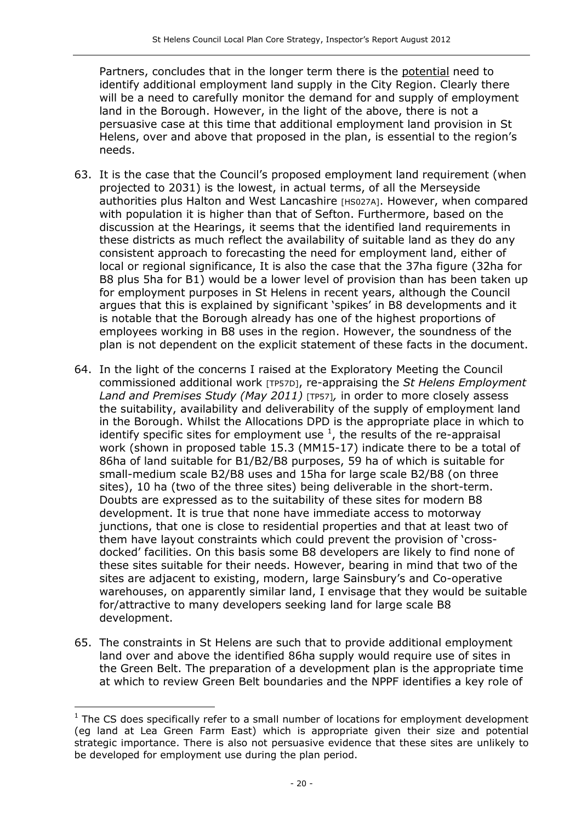Partners, concludes that in the longer term there is the potential need to identify additional employment land supply in the City Region. Clearly there will be a need to carefully monitor the demand for and supply of employment land in the Borough. However, in the light of the above, there is not a persuasive case at this time that additional employment land provision in St Helens, over and above that proposed in the plan, is essential to the region's needs.

- 63. It is the case that the Council's proposed employment land requirement (when projected to 2031) is the lowest, in actual terms, of all the Merseyside authorities plus Halton and West Lancashire [HS027A]. However, when compared with population it is higher than that of Sefton. Furthermore, based on the discussion at the Hearings, it seems that the identified land requirements in these districts as much reflect the availability of suitable land as they do any consistent approach to forecasting the need for employment land, either of local or regional significance, It is also the case that the 37ha figure (32ha for B8 plus 5ha for B1) would be a lower level of provision than has been taken up for employment purposes in St Helens in recent years, although the Council argues that this is explained by significant 'spikes' in B8 developments and it is notable that the Borough already has one of the highest proportions of employees working in B8 uses in the region. However, the soundness of the plan is not dependent on the explicit statement of these facts in the document.
- 64. In the light of the concerns I raised at the Exploratory Meeting the Council commissioned additional work [TP57D], re-appraising the St Helens Employment Land and Premises Study (May 2011) [TP57], in order to more closely assess the suitability, availability and deliverability of the supply of employment land in the Borough. Whilst the Allocations DPD is the appropriate place in which to identify specific sites for employment use  $^1$ , the results of the re-appraisal work (shown in proposed table 15.3 (MM15-17) indicate there to be a total of 86ha of land suitable for B1/B2/B8 purposes, 59 ha of which is suitable for small-medium scale B2/B8 uses and 15ha for large scale B2/B8 (on three sites), 10 ha (two of the three sites) being deliverable in the short-term. Doubts are expressed as to the suitability of these sites for modern B8 development. It is true that none have immediate access to motorway junctions, that one is close to residential properties and that at least two of them have layout constraints which could prevent the provision of 'crossdocked' facilities. On this basis some B8 developers are likely to find none of these sites suitable for their needs. However, bearing in mind that two of the sites are adjacent to existing, modern, large Sainsbury's and Co-operative warehouses, on apparently similar land, I envisage that they would be suitable for/attractive to many developers seeking land for large scale B8 development.
- 65. The constraints in St Helens are such that to provide additional employment land over and above the identified 86ha supply would require use of sites in the Green Belt. The preparation of a development plan is the appropriate time at which to review Green Belt boundaries and the NPPF identifies a key role of

l  $1$  The CS does specifically refer to a small number of locations for employment development (eg land at Lea Green Farm East) which is appropriate given their size and potential strategic importance. There is also not persuasive evidence that these sites are unlikely to be developed for employment use during the plan period.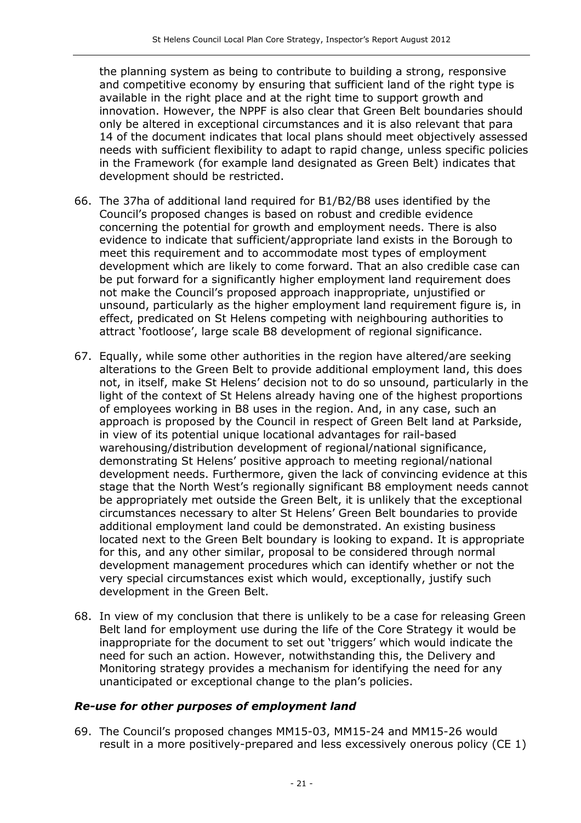the planning system as being to contribute to building a strong, responsive and competitive economy by ensuring that sufficient land of the right type is available in the right place and at the right time to support growth and innovation. However, the NPPF is also clear that Green Belt boundaries should only be altered in exceptional circumstances and it is also relevant that para 14 of the document indicates that local plans should meet objectively assessed needs with sufficient flexibility to adapt to rapid change, unless specific policies in the Framework (for example land designated as Green Belt) indicates that development should be restricted.

- 66. The 37ha of additional land required for B1/B2/B8 uses identified by the Council's proposed changes is based on robust and credible evidence concerning the potential for growth and employment needs. There is also evidence to indicate that sufficient/appropriate land exists in the Borough to meet this requirement and to accommodate most types of employment development which are likely to come forward. That an also credible case can be put forward for a significantly higher employment land requirement does not make the Council's proposed approach inappropriate, unjustified or unsound, particularly as the higher employment land requirement figure is, in effect, predicated on St Helens competing with neighbouring authorities to attract 'footloose', large scale B8 development of regional significance.
- 67. Equally, while some other authorities in the region have altered/are seeking alterations to the Green Belt to provide additional employment land, this does not, in itself, make St Helens' decision not to do so unsound, particularly in the light of the context of St Helens already having one of the highest proportions of employees working in B8 uses in the region. And, in any case, such an approach is proposed by the Council in respect of Green Belt land at Parkside, in view of its potential unique locational advantages for rail-based warehousing/distribution development of regional/national significance, demonstrating St Helens' positive approach to meeting regional/national development needs. Furthermore, given the lack of convincing evidence at this stage that the North West's regionally significant B8 employment needs cannot be appropriately met outside the Green Belt, it is unlikely that the exceptional circumstances necessary to alter St Helens' Green Belt boundaries to provide additional employment land could be demonstrated. An existing business located next to the Green Belt boundary is looking to expand. It is appropriate for this, and any other similar, proposal to be considered through normal development management procedures which can identify whether or not the very special circumstances exist which would, exceptionally, justify such development in the Green Belt.
- 68. In view of my conclusion that there is unlikely to be a case for releasing Green Belt land for employment use during the life of the Core Strategy it would be inappropriate for the document to set out 'triggers' which would indicate the need for such an action. However, notwithstanding this, the Delivery and Monitoring strategy provides a mechanism for identifying the need for any unanticipated or exceptional change to the plan's policies.

#### Re-use for other purposes of employment land

69. The Council's proposed changes MM15-03, MM15-24 and MM15-26 would result in a more positively-prepared and less excessively onerous policy (CE 1)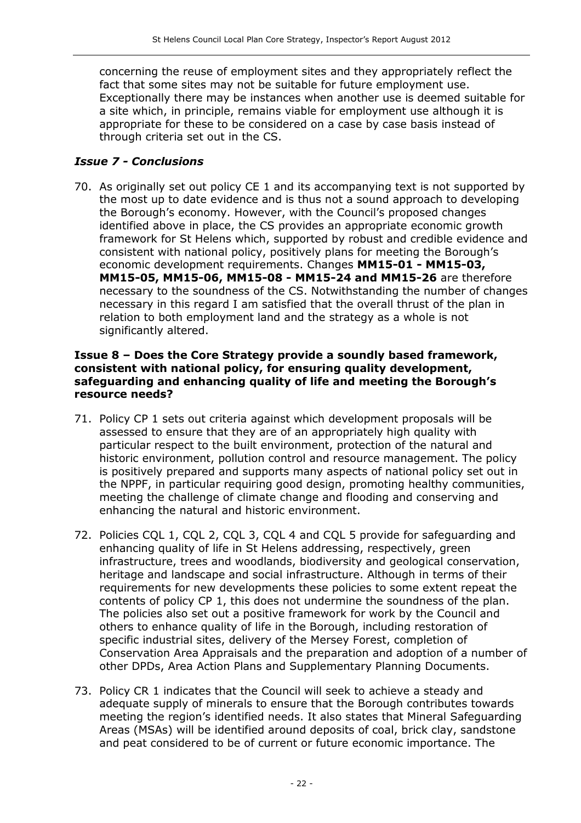concerning the reuse of employment sites and they appropriately reflect the fact that some sites may not be suitable for future employment use. Exceptionally there may be instances when another use is deemed suitable for a site which, in principle, remains viable for employment use although it is appropriate for these to be considered on a case by case basis instead of through criteria set out in the CS.

#### Issue 7 - Conclusions

70. As originally set out policy CE 1 and its accompanying text is not supported by the most up to date evidence and is thus not a sound approach to developing the Borough's economy. However, with the Council's proposed changes identified above in place, the CS provides an appropriate economic growth framework for St Helens which, supported by robust and credible evidence and consistent with national policy, positively plans for meeting the Borough's economic development requirements. Changes MM15-01 - MM15-03, MM15-05, MM15-06, MM15-08 - MM15-24 and MM15-26 are therefore necessary to the soundness of the CS. Notwithstanding the number of changes necessary in this regard I am satisfied that the overall thrust of the plan in relation to both employment land and the strategy as a whole is not significantly altered.

#### Issue 8 – Does the Core Strategy provide a soundly based framework, consistent with national policy, for ensuring quality development, safeguarding and enhancing quality of life and meeting the Borough's resource needs?

- 71. Policy CP 1 sets out criteria against which development proposals will be assessed to ensure that they are of an appropriately high quality with particular respect to the built environment, protection of the natural and historic environment, pollution control and resource management. The policy is positively prepared and supports many aspects of national policy set out in the NPPF, in particular requiring good design, promoting healthy communities, meeting the challenge of climate change and flooding and conserving and enhancing the natural and historic environment.
- 72. Policies CQL 1, CQL 2, CQL 3, CQL 4 and CQL 5 provide for safeguarding and enhancing quality of life in St Helens addressing, respectively, green infrastructure, trees and woodlands, biodiversity and geological conservation, heritage and landscape and social infrastructure. Although in terms of their requirements for new developments these policies to some extent repeat the contents of policy CP 1, this does not undermine the soundness of the plan. The policies also set out a positive framework for work by the Council and others to enhance quality of life in the Borough, including restoration of specific industrial sites, delivery of the Mersey Forest, completion of Conservation Area Appraisals and the preparation and adoption of a number of other DPDs, Area Action Plans and Supplementary Planning Documents.
- 73. Policy CR 1 indicates that the Council will seek to achieve a steady and adequate supply of minerals to ensure that the Borough contributes towards meeting the region's identified needs. It also states that Mineral Safeguarding Areas (MSAs) will be identified around deposits of coal, brick clay, sandstone and peat considered to be of current or future economic importance. The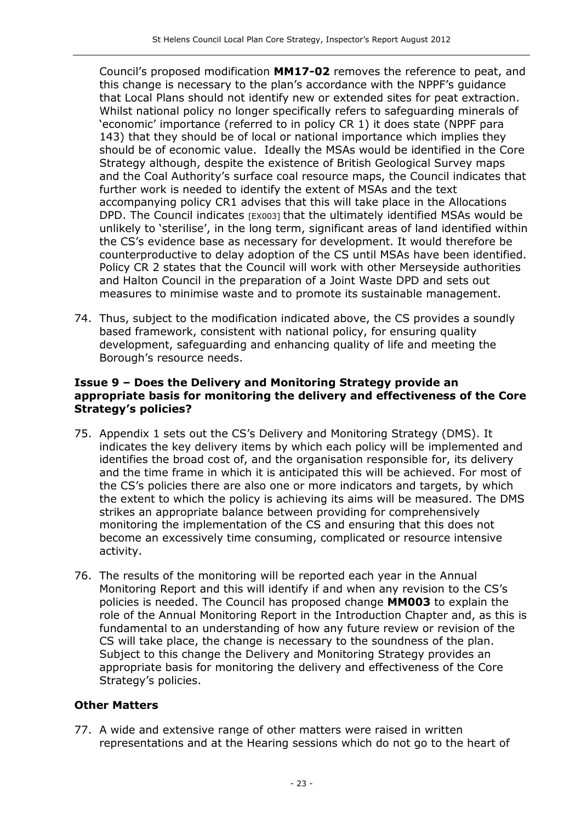Council's proposed modification MM17-02 removes the reference to peat, and this change is necessary to the plan's accordance with the NPPF's guidance that Local Plans should not identify new or extended sites for peat extraction. Whilst national policy no longer specifically refers to safeguarding minerals of 'economic' importance (referred to in policy CR 1) it does state (NPPF para 143) that they should be of local or national importance which implies they should be of economic value. Ideally the MSAs would be identified in the Core Strategy although, despite the existence of British Geological Survey maps and the Coal Authority's surface coal resource maps, the Council indicates that further work is needed to identify the extent of MSAs and the text accompanying policy CR1 advises that this will take place in the Allocations DPD. The Council indicates [EX003] that the ultimately identified MSAs would be unlikely to 'sterilise', in the long term, significant areas of land identified within the CS's evidence base as necessary for development. It would therefore be counterproductive to delay adoption of the CS until MSAs have been identified. Policy CR 2 states that the Council will work with other Merseyside authorities and Halton Council in the preparation of a Joint Waste DPD and sets out measures to minimise waste and to promote its sustainable management.

74. Thus, subject to the modification indicated above, the CS provides a soundly based framework, consistent with national policy, for ensuring quality development, safeguarding and enhancing quality of life and meeting the Borough's resource needs.

#### Issue 9 – Does the Delivery and Monitoring Strategy provide an appropriate basis for monitoring the delivery and effectiveness of the Core Strategy's policies?

- 75. Appendix 1 sets out the CS's Delivery and Monitoring Strategy (DMS). It indicates the key delivery items by which each policy will be implemented and identifies the broad cost of, and the organisation responsible for, its delivery and the time frame in which it is anticipated this will be achieved. For most of the CS's policies there are also one or more indicators and targets, by which the extent to which the policy is achieving its aims will be measured. The DMS strikes an appropriate balance between providing for comprehensively monitoring the implementation of the CS and ensuring that this does not become an excessively time consuming, complicated or resource intensive activity.
- 76. The results of the monitoring will be reported each year in the Annual Monitoring Report and this will identify if and when any revision to the CS's policies is needed. The Council has proposed change MM003 to explain the role of the Annual Monitoring Report in the Introduction Chapter and, as this is fundamental to an understanding of how any future review or revision of the CS will take place, the change is necessary to the soundness of the plan. Subject to this change the Delivery and Monitoring Strategy provides an appropriate basis for monitoring the delivery and effectiveness of the Core Strategy's policies.

## Other Matters

77. A wide and extensive range of other matters were raised in written representations and at the Hearing sessions which do not go to the heart of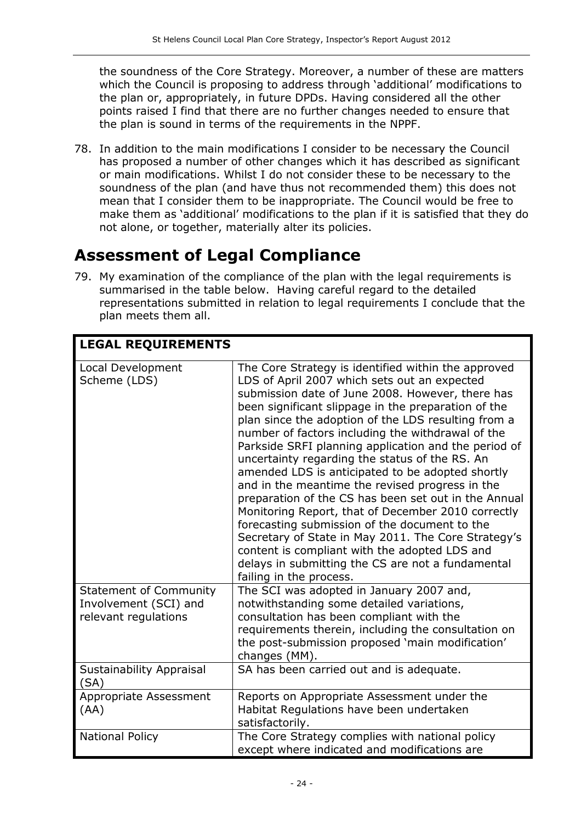the soundness of the Core Strategy. Moreover, a number of these are matters which the Council is proposing to address through 'additional' modifications to the plan or, appropriately, in future DPDs. Having considered all the other points raised I find that there are no further changes needed to ensure that the plan is sound in terms of the requirements in the NPPF.

78. In addition to the main modifications I consider to be necessary the Council has proposed a number of other changes which it has described as significant or main modifications. Whilst I do not consider these to be necessary to the soundness of the plan (and have thus not recommended them) this does not mean that I consider them to be inappropriate. The Council would be free to make them as 'additional' modifications to the plan if it is satisfied that they do not alone, or together, materially alter its policies.

## Assessment of Legal Compliance

79. My examination of the compliance of the plan with the legal requirements is summarised in the table below. Having careful regard to the detailed representations submitted in relation to legal requirements I conclude that the plan meets them all.

| <b>LEGAL REQUIREMENTS</b>                                                      |                                                                                                                                                                                                                                                                                                                                                                                                                                                                                                                                                                                                                                                                                                                                                                                                                                                                                                    |
|--------------------------------------------------------------------------------|----------------------------------------------------------------------------------------------------------------------------------------------------------------------------------------------------------------------------------------------------------------------------------------------------------------------------------------------------------------------------------------------------------------------------------------------------------------------------------------------------------------------------------------------------------------------------------------------------------------------------------------------------------------------------------------------------------------------------------------------------------------------------------------------------------------------------------------------------------------------------------------------------|
| Local Development<br>Scheme (LDS)                                              | The Core Strategy is identified within the approved<br>LDS of April 2007 which sets out an expected<br>submission date of June 2008. However, there has<br>been significant slippage in the preparation of the<br>plan since the adoption of the LDS resulting from a<br>number of factors including the withdrawal of the<br>Parkside SRFI planning application and the period of<br>uncertainty regarding the status of the RS. An<br>amended LDS is anticipated to be adopted shortly<br>and in the meantime the revised progress in the<br>preparation of the CS has been set out in the Annual<br>Monitoring Report, that of December 2010 correctly<br>forecasting submission of the document to the<br>Secretary of State in May 2011. The Core Strategy's<br>content is compliant with the adopted LDS and<br>delays in submitting the CS are not a fundamental<br>failing in the process. |
| <b>Statement of Community</b><br>Involvement (SCI) and<br>relevant regulations | The SCI was adopted in January 2007 and,<br>notwithstanding some detailed variations,<br>consultation has been compliant with the<br>requirements therein, including the consultation on<br>the post-submission proposed 'main modification'<br>changes (MM).                                                                                                                                                                                                                                                                                                                                                                                                                                                                                                                                                                                                                                      |
| Sustainability Appraisal<br>(SA)                                               | SA has been carried out and is adequate.                                                                                                                                                                                                                                                                                                                                                                                                                                                                                                                                                                                                                                                                                                                                                                                                                                                           |
| Appropriate Assessment<br>(AA)                                                 | Reports on Appropriate Assessment under the<br>Habitat Regulations have been undertaken<br>satisfactorily.                                                                                                                                                                                                                                                                                                                                                                                                                                                                                                                                                                                                                                                                                                                                                                                         |
| <b>National Policy</b>                                                         | The Core Strategy complies with national policy<br>except where indicated and modifications are                                                                                                                                                                                                                                                                                                                                                                                                                                                                                                                                                                                                                                                                                                                                                                                                    |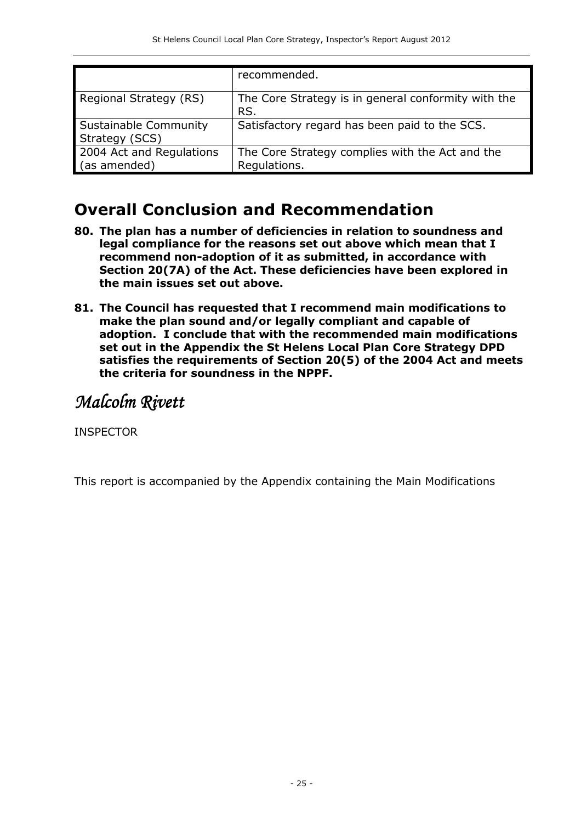|                                          | recommended.                                                    |
|------------------------------------------|-----------------------------------------------------------------|
| Regional Strategy (RS)                   | The Core Strategy is in general conformity with the<br>RS.      |
| Sustainable Community<br>Strategy (SCS)  | Satisfactory regard has been paid to the SCS.                   |
| 2004 Act and Regulations<br>(as amended) | The Core Strategy complies with the Act and the<br>Regulations. |

## Overall Conclusion and Recommendation

- 80. The plan has a number of deficiencies in relation to soundness and legal compliance for the reasons set out above which mean that I recommend non-adoption of it as submitted, in accordance with Section 20(7A) of the Act. These deficiencies have been explored in the main issues set out above.
- 81. The Council has requested that I recommend main modifications to make the plan sound and/or legally compliant and capable of adoption. I conclude that with the recommended main modifications set out in the Appendix the St Helens Local Plan Core Strategy DPD satisfies the requirements of Section 20(5) of the 2004 Act and meets the criteria for soundness in the NPPF.

Malcolm Rivett

INSPECTOR

This report is accompanied by the Appendix containing the Main Modifications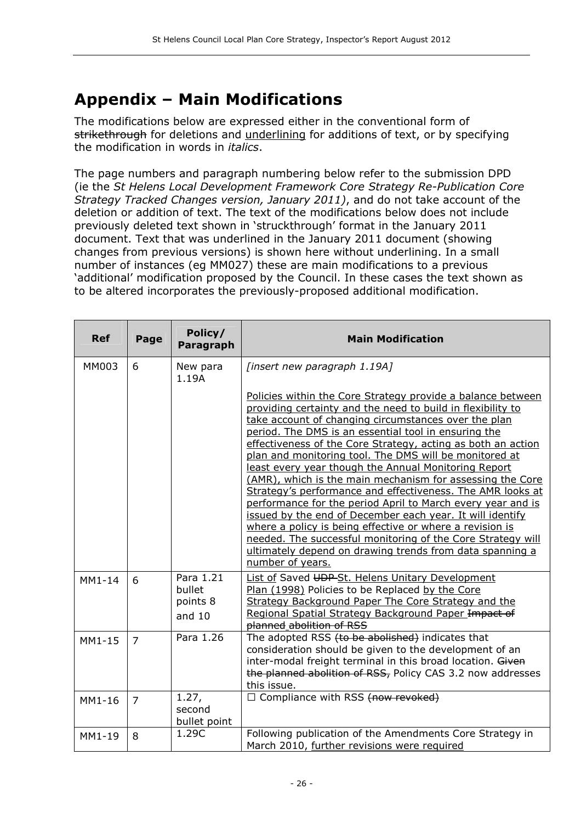## Appendix – Main Modifications

The modifications below are expressed either in the conventional form of strikethrough for deletions and underlining for additions of text, or by specifying the modification in words in italics.

The page numbers and paragraph numbering below refer to the submission DPD (ie the St Helens Local Development Framework Core Strategy Re-Publication Core Strategy Tracked Changes version, January 2011), and do not take account of the deletion or addition of text. The text of the modifications below does not include previously deleted text shown in 'struckthrough' format in the January 2011 document. Text that was underlined in the January 2011 document (showing changes from previous versions) is shown here without underlining. In a small number of instances (eg MM027) these are main modifications to a previous 'additional' modification proposed by the Council. In these cases the text shown as to be altered incorporates the previously-proposed additional modification.

| <b>Ref</b> | Page           | Policy/<br>Paragraph                        | <b>Main Modification</b>                                                                                                                                                                                                                                                                                                                                                                                                                                                                                                                                                                                                                                                                                                                                                                                                                                                                       |
|------------|----------------|---------------------------------------------|------------------------------------------------------------------------------------------------------------------------------------------------------------------------------------------------------------------------------------------------------------------------------------------------------------------------------------------------------------------------------------------------------------------------------------------------------------------------------------------------------------------------------------------------------------------------------------------------------------------------------------------------------------------------------------------------------------------------------------------------------------------------------------------------------------------------------------------------------------------------------------------------|
| MM003      | 6              | New para<br>1.19A                           | [insert new paragraph 1.19A]                                                                                                                                                                                                                                                                                                                                                                                                                                                                                                                                                                                                                                                                                                                                                                                                                                                                   |
|            |                |                                             | Policies within the Core Strategy provide a balance between<br>providing certainty and the need to build in flexibility to<br>take account of changing circumstances over the plan<br>period. The DMS is an essential tool in ensuring the<br>effectiveness of the Core Strategy, acting as both an action<br>plan and monitoring tool. The DMS will be monitored at<br>least every year though the Annual Monitoring Report<br>(AMR), which is the main mechanism for assessing the Core<br>Strategy's performance and effectiveness. The AMR looks at<br>performance for the period April to March every year and is<br>issued by the end of December each year. It will identify<br>where a policy is being effective or where a revision is<br>needed. The successful monitoring of the Core Strategy will<br>ultimately depend on drawing trends from data spanning a<br>number of years. |
| $MM1-14$   | 6              | Para 1.21<br>bullet<br>points 8<br>and $10$ | <b>List of Saved UDP-St. Helens Unitary Development</b><br>Plan (1998) Policies to be Replaced by the Core<br>Strategy Background Paper The Core Strategy and the<br>Regional Spatial Strategy Background Paper Impact of<br>planned abolition of RSS                                                                                                                                                                                                                                                                                                                                                                                                                                                                                                                                                                                                                                          |
| MM1-15     | $\overline{7}$ | Para 1.26                                   | The adopted RSS (to be abolished) indicates that<br>consideration should be given to the development of an<br>inter-modal freight terminal in this broad location. Given<br>the planned abolition of RSS, Policy CAS 3.2 now addresses<br>this issue.                                                                                                                                                                                                                                                                                                                                                                                                                                                                                                                                                                                                                                          |
| MM1-16     | $\overline{7}$ | 1.27,<br>second<br>bullet point             | $\Box$ Compliance with RSS (now revoked)                                                                                                                                                                                                                                                                                                                                                                                                                                                                                                                                                                                                                                                                                                                                                                                                                                                       |
| MM1-19     | 8              | 1.29C                                       | Following publication of the Amendments Core Strategy in<br>March 2010, further revisions were required                                                                                                                                                                                                                                                                                                                                                                                                                                                                                                                                                                                                                                                                                                                                                                                        |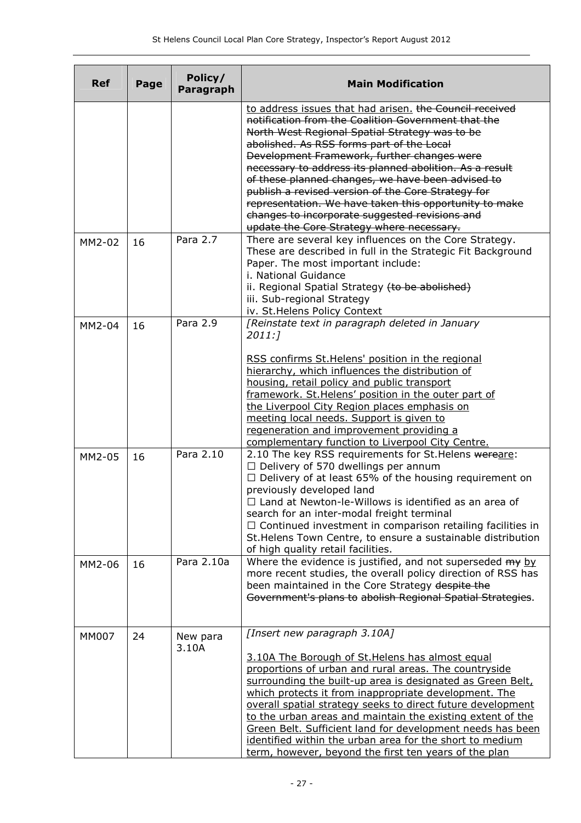| <b>Ref</b>   | Page | Policy/<br>Paragraph | <b>Main Modification</b>                                                                                                                                                                                                                                                                                                                                                                                                                                                                                                                                                         |
|--------------|------|----------------------|----------------------------------------------------------------------------------------------------------------------------------------------------------------------------------------------------------------------------------------------------------------------------------------------------------------------------------------------------------------------------------------------------------------------------------------------------------------------------------------------------------------------------------------------------------------------------------|
|              |      |                      | to address issues that had arisen. the Council received<br>notification from the Coalition Government that the<br>North West Regional Spatial Strategy was to be<br>abolished. As RSS forms part of the Local<br>Development Framework, further changes were<br>necessary to address its planned abolition. As a result<br>of these planned changes, we have been advised to                                                                                                                                                                                                     |
|              |      |                      | publish a revised version of the Core Strategy for<br>representation. We have taken this opportunity to make<br>changes to incorporate suggested revisions and<br>update the Core Strategy where necessary.                                                                                                                                                                                                                                                                                                                                                                      |
| MM2-02       | 16   | Para 2.7             | There are several key influences on the Core Strategy.<br>These are described in full in the Strategic Fit Background<br>Paper. The most important include:<br>i. National Guidance<br>ii. Regional Spatial Strategy (to be abolished)<br>iii. Sub-regional Strategy<br>iv. St. Helens Policy Context                                                                                                                                                                                                                                                                            |
| MM2-04       | 16   | Para 2.9             | [Reinstate text in paragraph deleted in January<br>2011:7                                                                                                                                                                                                                                                                                                                                                                                                                                                                                                                        |
|              |      |                      | RSS confirms St. Helens' position in the regional<br>hierarchy, which influences the distribution of<br>housing, retail policy and public transport<br>framework. St. Helens' position in the outer part of<br>the Liverpool City Region places emphasis on<br>meeting local needs. Support is given to<br>regeneration and improvement providing a<br>complementary function to Liverpool City Centre.                                                                                                                                                                          |
| MM2-05       | 16   | Para 2.10            | 2.10 The key RSS requirements for St. Helens wereare:<br>$\Box$ Delivery of 570 dwellings per annum<br>$\Box$ Delivery of at least 65% of the housing requirement on<br>previously developed land<br>$\Box$ Land at Newton-le-Willows is identified as an area of<br>search for an inter-modal freight terminal<br>$\Box$ Continued investment in comparison retailing facilities in<br>St. Helens Town Centre, to ensure a sustainable distribution<br>of high quality retail facilities.                                                                                       |
| MM2-06       | 16   | Para 2.10a           | Where the evidence is justified, and not superseded my by<br>more recent studies, the overall policy direction of RSS has<br>been maintained in the Core Strategy despite the<br>Government's plans to abolish Regional Spatial Strategies.                                                                                                                                                                                                                                                                                                                                      |
| <b>MM007</b> | 24   | New para<br>3.10A    | [Insert new paragraph 3.10A]<br>3.10A The Borough of St. Helens has almost equal<br>proportions of urban and rural areas. The countryside<br>surrounding the built-up area is designated as Green Belt,<br>which protects it from inappropriate development. The<br>overall spatial strategy seeks to direct future development<br>to the urban areas and maintain the existing extent of the<br>Green Belt. Sufficient land for development needs has been<br>identified within the urban area for the short to medium<br>term, however, beyond the first ten years of the plan |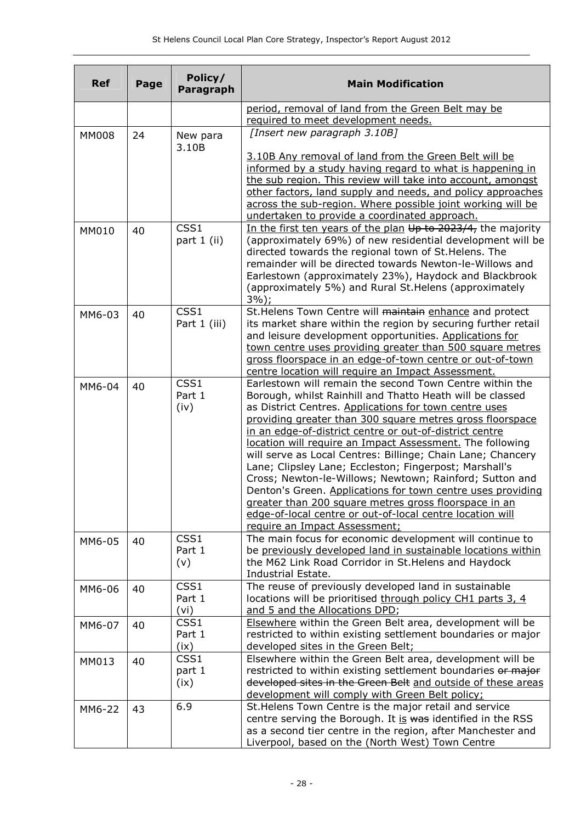| <b>Ref</b>   | Page | Policy/<br>Paragraph   | <b>Main Modification</b>                                                                                                                                                                                                                                                                                                                                                                                                                                                                                                                                                                                                                                                                                                                                                       |
|--------------|------|------------------------|--------------------------------------------------------------------------------------------------------------------------------------------------------------------------------------------------------------------------------------------------------------------------------------------------------------------------------------------------------------------------------------------------------------------------------------------------------------------------------------------------------------------------------------------------------------------------------------------------------------------------------------------------------------------------------------------------------------------------------------------------------------------------------|
|              |      |                        | period, removal of land from the Green Belt may be<br>required to meet development needs.                                                                                                                                                                                                                                                                                                                                                                                                                                                                                                                                                                                                                                                                                      |
| <b>MM008</b> | 24   | New para<br>3.10B      | [Insert new paragraph 3.10B]<br>3.10B Any removal of land from the Green Belt will be<br>informed by a study having regard to what is happening in<br>the sub region. This review will take into account, amongst<br>other factors, land supply and needs, and policy approaches                                                                                                                                                                                                                                                                                                                                                                                                                                                                                               |
| MM010        | 40   | CSS1<br>part 1 (ii)    | across the sub-region. Where possible joint working will be<br>undertaken to provide a coordinated approach.<br>In the first ten years of the plan Up to 2023/4, the majority<br>(approximately 69%) of new residential development will be<br>directed towards the regional town of St. Helens. The<br>remainder will be directed towards Newton-le-Willows and<br>Earlestown (approximately 23%), Haydock and Blackbrook<br>(approximately 5%) and Rural St. Helens (approximately<br>$3\%$ );                                                                                                                                                                                                                                                                               |
| MM6-03       | 40   | CSS1<br>Part 1 (iii)   | St. Helens Town Centre will maintain enhance and protect<br>its market share within the region by securing further retail<br>and leisure development opportunities. Applications for<br>town centre uses providing greater than 500 square metres<br>gross floorspace in an edge-of-town centre or out-of-town<br>centre location will require an Impact Assessment.                                                                                                                                                                                                                                                                                                                                                                                                           |
| MM6-04       | 40   | CSS1<br>Part 1<br>(iv) | Earlestown will remain the second Town Centre within the<br>Borough, whilst Rainhill and Thatto Heath will be classed<br>as District Centres. Applications for town centre uses<br>providing greater than 300 square metres gross floorspace<br>in an edge-of-district centre or out-of-district centre<br>location will require an Impact Assessment. The following<br>will serve as Local Centres: Billinge; Chain Lane; Chancery<br>Lane; Clipsley Lane; Eccleston; Fingerpost; Marshall's<br>Cross; Newton-le-Willows; Newtown; Rainford; Sutton and<br>Denton's Green. Applications for town centre uses providing<br>greater than 200 square metres gross floorspace in an<br>edge-of-local centre or out-of-local centre location will<br>require an Impact Assessment; |
| MM6-05       | 40   | CSS1<br>Part 1<br>(v)  | The main focus for economic development will continue to<br>be previously developed land in sustainable locations within<br>the M62 Link Road Corridor in St. Helens and Haydock<br>Industrial Estate.                                                                                                                                                                                                                                                                                                                                                                                                                                                                                                                                                                         |
| MM6-06       | 40   | CSS1<br>Part 1<br>(vi) | The reuse of previously developed land in sustainable<br>locations will be prioritised through policy CH1 parts 3, 4<br>and 5 and the Allocations DPD;                                                                                                                                                                                                                                                                                                                                                                                                                                                                                                                                                                                                                         |
| MM6-07       | 40   | CSS1<br>Part 1<br>(ix) | Elsewhere within the Green Belt area, development will be<br>restricted to within existing settlement boundaries or major<br>developed sites in the Green Belt;                                                                                                                                                                                                                                                                                                                                                                                                                                                                                                                                                                                                                |
| MM013        | 40   | CSS1<br>part 1<br>(ix) | Elsewhere within the Green Belt area, development will be<br>restricted to within existing settlement boundaries or major<br>developed sites in the Green Belt and outside of these areas<br>development will comply with Green Belt policy;                                                                                                                                                                                                                                                                                                                                                                                                                                                                                                                                   |
| MM6-22       | 43   | 6.9                    | St. Helens Town Centre is the major retail and service<br>centre serving the Borough. It is was identified in the RSS<br>as a second tier centre in the region, after Manchester and<br>Liverpool, based on the (North West) Town Centre                                                                                                                                                                                                                                                                                                                                                                                                                                                                                                                                       |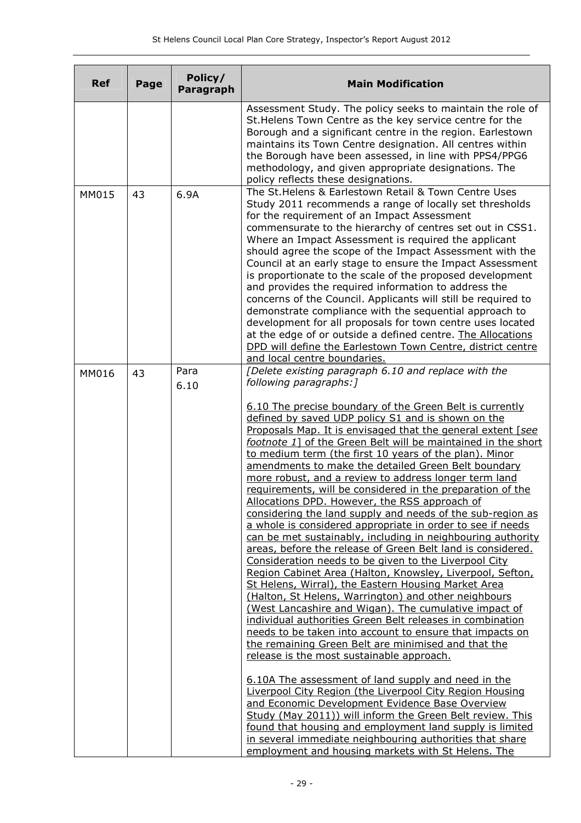| <b>Ref</b> | Page | Policy/<br>Paragraph | <b>Main Modification</b>                                                                                                                                                                                                                                                                                                                                                                                                                                                                                                                                                                                                                                                                                                                                                                                                                                                                                                                                                                                                                                                                                                                                                                                                                                                                                                                                                                                                                                                                                                                                                                                                                                                                                                                                                                                                         |
|------------|------|----------------------|----------------------------------------------------------------------------------------------------------------------------------------------------------------------------------------------------------------------------------------------------------------------------------------------------------------------------------------------------------------------------------------------------------------------------------------------------------------------------------------------------------------------------------------------------------------------------------------------------------------------------------------------------------------------------------------------------------------------------------------------------------------------------------------------------------------------------------------------------------------------------------------------------------------------------------------------------------------------------------------------------------------------------------------------------------------------------------------------------------------------------------------------------------------------------------------------------------------------------------------------------------------------------------------------------------------------------------------------------------------------------------------------------------------------------------------------------------------------------------------------------------------------------------------------------------------------------------------------------------------------------------------------------------------------------------------------------------------------------------------------------------------------------------------------------------------------------------|
|            |      |                      | Assessment Study. The policy seeks to maintain the role of<br>St. Helens Town Centre as the key service centre for the<br>Borough and a significant centre in the region. Earlestown<br>maintains its Town Centre designation. All centres within<br>the Borough have been assessed, in line with PPS4/PPG6<br>methodology, and given appropriate designations. The<br>policy reflects these designations.                                                                                                                                                                                                                                                                                                                                                                                                                                                                                                                                                                                                                                                                                                                                                                                                                                                                                                                                                                                                                                                                                                                                                                                                                                                                                                                                                                                                                       |
| MM015      | 43   | 6.9A                 | The St. Helens & Earlestown Retail & Town Centre Uses<br>Study 2011 recommends a range of locally set thresholds<br>for the requirement of an Impact Assessment<br>commensurate to the hierarchy of centres set out in CSS1.<br>Where an Impact Assessment is required the applicant<br>should agree the scope of the Impact Assessment with the<br>Council at an early stage to ensure the Impact Assessment<br>is proportionate to the scale of the proposed development<br>and provides the required information to address the<br>concerns of the Council. Applicants will still be required to<br>demonstrate compliance with the sequential approach to<br>development for all proposals for town centre uses located<br>at the edge of or outside a defined centre. The Allocations<br>DPD will define the Earlestown Town Centre, district centre<br>and local centre boundaries.                                                                                                                                                                                                                                                                                                                                                                                                                                                                                                                                                                                                                                                                                                                                                                                                                                                                                                                                        |
| MM016      | 43   | Para<br>6.10         | [Delete existing paragraph 6.10 and replace with the<br>following paragraphs: ]<br>6.10 The precise boundary of the Green Belt is currently<br>defined by saved UDP policy S1 and is shown on the<br>Proposals Map. It is envisaged that the general extent [see<br>footnote 1] of the Green Belt will be maintained in the short<br>to medium term (the first 10 years of the plan). Minor<br>amendments to make the detailed Green Belt boundary<br>more robust, and a review to address longer term land<br>requirements, will be considered in the preparation of the<br>Allocations DPD. However, the RSS approach of<br>considering the land supply and needs of the sub-region as<br>a whole is considered appropriate in order to see if needs<br>can be met sustainably, including in neighbouring authority<br>areas, before the release of Green Belt land is considered.<br>Consideration needs to be given to the Liverpool City<br>Region Cabinet Area (Halton, Knowsley, Liverpool, Sefton,<br>St Helens, Wirral), the Eastern Housing Market Area<br>(Halton, St Helens, Warrington) and other neighbours<br>(West Lancashire and Wigan). The cumulative impact of<br>individual authorities Green Belt releases in combination<br>needs to be taken into account to ensure that impacts on<br>the remaining Green Belt are minimised and that the<br>release is the most sustainable approach.<br>6.10A The assessment of land supply and need in the<br>Liverpool City Region (the Liverpool City Region Housing<br>and Economic Development Evidence Base Overview<br>Study (May 2011)) will inform the Green Belt review. This<br>found that housing and employment land supply is limited<br>in several immediate neighbouring authorities that share<br>employment and housing markets with St Helens. The |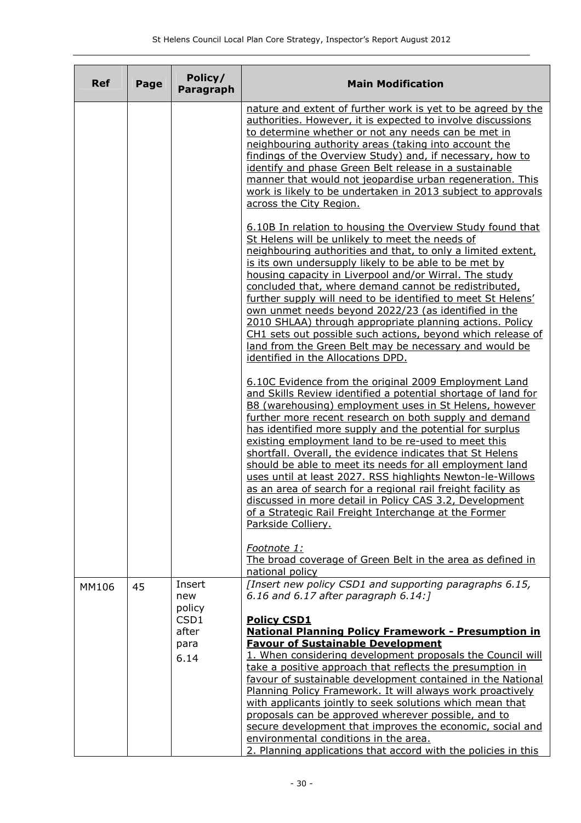| <b>Ref</b> | Page | Policy/<br>Paragraph                                     | <b>Main Modification</b>                                                                                                                                                                                                                                                                                                                                                                                                                                                                                                                                                                                                                                                                                                                                                              |
|------------|------|----------------------------------------------------------|---------------------------------------------------------------------------------------------------------------------------------------------------------------------------------------------------------------------------------------------------------------------------------------------------------------------------------------------------------------------------------------------------------------------------------------------------------------------------------------------------------------------------------------------------------------------------------------------------------------------------------------------------------------------------------------------------------------------------------------------------------------------------------------|
|            |      |                                                          | nature and extent of further work is yet to be agreed by the<br>authorities. However, it is expected to involve discussions<br>to determine whether or not any needs can be met in<br>neighbouring authority areas (taking into account the<br>findings of the Overview Study) and, if necessary, how to<br>identify and phase Green Belt release in a sustainable<br>manner that would not jeopardise urban regeneration. This<br>work is likely to be undertaken in 2013 subject to approvals<br>across the City Region.                                                                                                                                                                                                                                                            |
|            |      |                                                          | 6.10B In relation to housing the Overview Study found that<br>St Helens will be unlikely to meet the needs of<br>neighbouring authorities and that, to only a limited extent,<br>is its own undersupply likely to be able to be met by<br>housing capacity in Liverpool and/or Wirral. The study<br>concluded that, where demand cannot be redistributed,<br>further supply will need to be identified to meet St Helens'<br>own unmet needs beyond 2022/23 (as identified in the<br>2010 SHLAA) through appropriate planning actions. Policy<br>CH1 sets out possible such actions, beyond which release of<br>land from the Green Belt may be necessary and would be<br>identified in the Allocations DPD.                                                                          |
|            |      |                                                          | 6.10C Evidence from the original 2009 Employment Land<br>and Skills Review identified a potential shortage of land for<br>B8 (warehousing) employment uses in St Helens, however<br>further more recent research on both supply and demand<br>has identified more supply and the potential for surplus<br>existing employment land to be re-used to meet this<br>shortfall. Overall, the evidence indicates that St Helens<br>should be able to meet its needs for all employment land<br>uses until at least 2027. RSS highlights Newton-le-Willows<br>as an area of search for a regional rail freight facility as<br>discussed in more detail in Policy CAS 3.2, Development<br>of a Strategic Rail Freight Interchange at the Former<br>Parkside Colliery.                        |
|            |      |                                                          | Footnote 1:<br>The broad coverage of Green Belt in the area as defined in<br>national policy                                                                                                                                                                                                                                                                                                                                                                                                                                                                                                                                                                                                                                                                                          |
| MM106      | 45   | Insert<br>new<br>policy<br>CSD1<br>after<br>para<br>6.14 | [Insert new policy CSD1 and supporting paragraphs 6.15,<br>6.16 and 6.17 after paragraph $6.14$ :<br><b>Policy CSD1</b><br><b>National Planning Policy Framework - Presumption in</b><br><b>Favour of Sustainable Development</b><br>1. When considering development proposals the Council will<br>take a positive approach that reflects the presumption in<br>favour of sustainable development contained in the National<br>Planning Policy Framework. It will always work proactively<br>with applicants jointly to seek solutions which mean that<br>proposals can be approved wherever possible, and to<br>secure development that improves the economic, social and<br>environmental conditions in the area.<br>2. Planning applications that accord with the policies in this |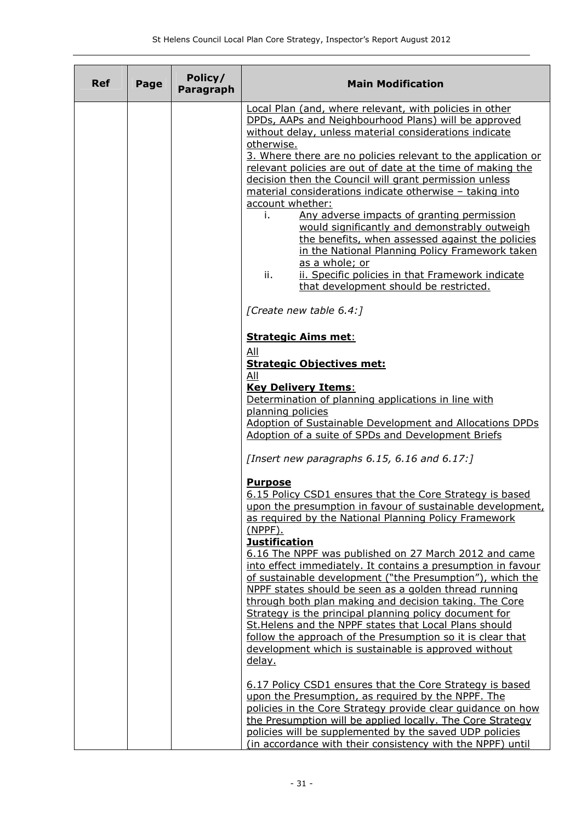| <b>Ref</b> | Page | Policy/<br><b>Paragraph</b> | <b>Main Modification</b>                                                                                                                                                                                                                                                                                                                                             |
|------------|------|-----------------------------|----------------------------------------------------------------------------------------------------------------------------------------------------------------------------------------------------------------------------------------------------------------------------------------------------------------------------------------------------------------------|
|            |      |                             | Local Plan (and, where relevant, with policies in other<br>DPDs, AAPs and Neighbourhood Plans) will be approved<br>without delay, unless material considerations indicate<br>otherwise.                                                                                                                                                                              |
|            |      |                             | 3. Where there are no policies relevant to the application or<br>relevant policies are out of date at the time of making the<br>decision then the Council will grant permission unless<br>material considerations indicate otherwise - taking into<br>account whether:                                                                                               |
|            |      |                             | Any adverse impacts of granting permission<br>i.<br>would significantly and demonstrably outweigh<br>the benefits, when assessed against the policies<br>in the National Planning Policy Framework taken<br>as a whole; or                                                                                                                                           |
|            |      |                             | ii.<br>ii. Specific policies in that Framework indicate<br>that development should be restricted.                                                                                                                                                                                                                                                                    |
|            |      |                             | [Create new table 6.4:]                                                                                                                                                                                                                                                                                                                                              |
|            |      |                             | <b>Strategic Aims met:</b><br>All                                                                                                                                                                                                                                                                                                                                    |
|            |      |                             | <b>Strategic Objectives met:</b><br>All<br><b>Key Delivery Items:</b>                                                                                                                                                                                                                                                                                                |
|            |      |                             | Determination of planning applications in line with<br>planning policies                                                                                                                                                                                                                                                                                             |
|            |      |                             | Adoption of Sustainable Development and Allocations DPDs<br>Adoption of a suite of SPDs and Development Briefs                                                                                                                                                                                                                                                       |
|            |      |                             | [Insert new paragraphs $6.15$ , $6.16$ and $6.17$ :]                                                                                                                                                                                                                                                                                                                 |
|            |      |                             | <b>Purpose</b><br>6.15 Policy CSD1 ensures that the Core Strategy is based<br>upon the presumption in favour of sustainable development,<br>as required by the National Planning Policy Framework<br>$(NPPF)$ .<br><b>Justification</b>                                                                                                                              |
|            |      |                             | 6.16 The NPPF was published on 27 March 2012 and came<br>into effect immediately. It contains a presumption in favour<br>of sustainable development ("the Presumption"), which the<br>NPPF states should be seen as a golden thread running                                                                                                                          |
|            |      |                             | through both plan making and decision taking. The Core<br>Strategy is the principal planning policy document for<br>St. Helens and the NPPF states that Local Plans should<br>follow the approach of the Presumption so it is clear that<br>development which is sustainable is approved without<br>delay.                                                           |
|            |      |                             | 6.17 Policy CSD1 ensures that the Core Strategy is based<br>upon the Presumption, as required by the NPPF. The<br>policies in the Core Strategy provide clear quidance on how<br>the Presumption will be applied locally. The Core Strategy<br>policies will be supplemented by the saved UDP policies<br>(in accordance with their consistency with the NPPF) until |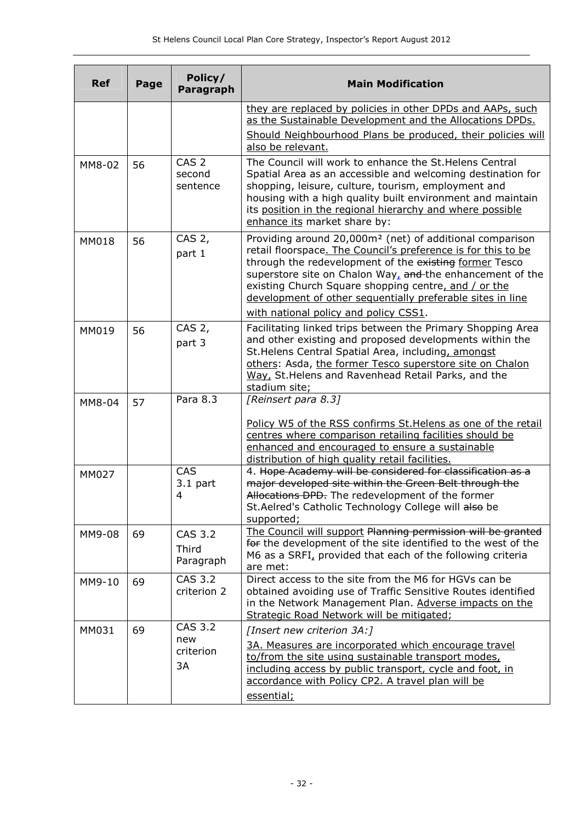| <b>Ref</b>   | Page | Policy/<br>Paragraph                   | <b>Main Modification</b>                                                                                                                                                                                                                                                                                                                                                                                                    |
|--------------|------|----------------------------------------|-----------------------------------------------------------------------------------------------------------------------------------------------------------------------------------------------------------------------------------------------------------------------------------------------------------------------------------------------------------------------------------------------------------------------------|
|              |      |                                        | they are replaced by policies in other DPDs and AAPs, such<br>as the Sustainable Development and the Allocations DPDs.<br>Should Neighbourhood Plans be produced, their policies will<br>also be relevant.                                                                                                                                                                                                                  |
| MM8-02       | 56   | CAS <sub>2</sub><br>second<br>sentence | The Council will work to enhance the St. Helens Central<br>Spatial Area as an accessible and welcoming destination for<br>shopping, leisure, culture, tourism, employment and<br>housing with a high quality built environment and maintain<br>its position in the regional hierarchy and where possible<br>enhance its market share by:                                                                                    |
| <b>MM018</b> | 56   | CAS 2,<br>part 1                       | Providing around 20,000m <sup>2</sup> (net) of additional comparison<br>retail floorspace. The Council's preference is for this to be<br>through the redevelopment of the existing former Tesco<br>superstore site on Chalon Way, and the enhancement of the<br>existing Church Square shopping centre, and / or the<br>development of other sequentially preferable sites in line<br>with national policy and policy CSS1. |
| MM019        | 56   | CAS 2,<br>part 3                       | Facilitating linked trips between the Primary Shopping Area<br>and other existing and proposed developments within the<br>St. Helens Central Spatial Area, including, amongst<br>others: Asda, the former Tesco superstore site on Chalon<br>Way, St. Helens and Ravenhead Retail Parks, and the<br>stadium site;                                                                                                           |
| MM8-04       | 57   | Para 8.3                               | [Reinsert para 8.3]<br>Policy W5 of the RSS confirms St. Helens as one of the retail<br>centres where comparison retailing facilities should be<br>enhanced and encouraged to ensure a sustainable<br>distribution of high quality retail facilities.                                                                                                                                                                       |
| MM027        |      | CAS<br>$3.1$ part<br>4                 | 4. Hope Academy will be considered for classification as a<br>major developed site within the Green Belt through the<br>Allocations DPD. The redevelopment of the former<br>St.Aelred's Catholic Technology College will also be<br>supported;                                                                                                                                                                              |
| MM9-08       | 69   | CAS 3.2<br>Third<br>Paragraph          | The Council will support Planning permission will be granted<br>for the development of the site identified to the west of the<br>M6 as a SRFI, provided that each of the following criteria<br>are met:                                                                                                                                                                                                                     |
| MM9-10       | 69   | CAS 3.2<br>criterion 2                 | Direct access to the site from the M6 for HGVs can be<br>obtained avoiding use of Traffic Sensitive Routes identified<br>in the Network Management Plan. Adverse impacts on the<br>Strategic Road Network will be mitigated;                                                                                                                                                                                                |
| MM031        | 69   | CAS 3.2<br>new<br>criterion<br>3A      | [Insert new criterion 3A:]<br>3A. Measures are incorporated which encourage travel<br>to/from the site using sustainable transport modes,<br>including access by public transport, cycle and foot, in<br>accordance with Policy CP2. A travel plan will be<br>essential;                                                                                                                                                    |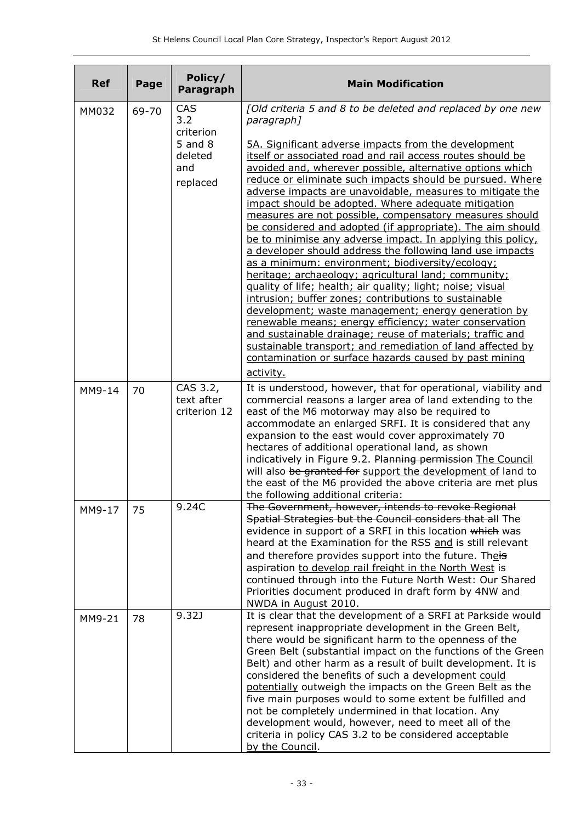| <b>Ref</b> | Page                             | Policy/<br>Paragraph                                                      | <b>Main Modification</b>                                                                                                                                                                                                                                                                                                                                                                                                                                                                                                                                                                                                                                                                                                                                                                                                                                                                                                                                                                                                                                                                                                                                                    |
|------------|----------------------------------|---------------------------------------------------------------------------|-----------------------------------------------------------------------------------------------------------------------------------------------------------------------------------------------------------------------------------------------------------------------------------------------------------------------------------------------------------------------------------------------------------------------------------------------------------------------------------------------------------------------------------------------------------------------------------------------------------------------------------------------------------------------------------------------------------------------------------------------------------------------------------------------------------------------------------------------------------------------------------------------------------------------------------------------------------------------------------------------------------------------------------------------------------------------------------------------------------------------------------------------------------------------------|
| MM032      | CAS<br>69-70<br>3.2<br>criterion | [Old criteria 5 and 8 to be deleted and replaced by one new<br>paragraph] |                                                                                                                                                                                                                                                                                                                                                                                                                                                                                                                                                                                                                                                                                                                                                                                                                                                                                                                                                                                                                                                                                                                                                                             |
|            |                                  | $5$ and $8$<br>deleted<br>and<br>replaced                                 | 5A. Significant adverse impacts from the development<br>itself or associated road and rail access routes should be<br>avoided and, wherever possible, alternative options which<br>reduce or eliminate such impacts should be pursued. Where<br>adverse impacts are unavoidable, measures to mitigate the<br>impact should be adopted. Where adequate mitigation<br>measures are not possible, compensatory measures should<br>be considered and adopted (if appropriate). The aim should<br>be to minimise any adverse impact. In applying this policy,<br>a developer should address the following land use impacts<br>as a minimum: environment; biodiversity/ecology;<br>heritage; archaeology; agricultural land; community;<br>quality of life; health; air quality; light; noise; visual<br>intrusion; buffer zones; contributions to sustainable<br>development; waste management; energy generation by<br>renewable means; energy efficiency; water conservation<br>and sustainable drainage; reuse of materials; traffic and<br>sustainable transport; and remediation of land affected by<br>contamination or surface hazards caused by past mining<br>activity. |
| MM9-14     | 70                               | CAS 3.2,<br>text after<br>criterion 12                                    | It is understood, however, that for operational, viability and<br>commercial reasons a larger area of land extending to the<br>east of the M6 motorway may also be required to<br>accommodate an enlarged SRFI. It is considered that any<br>expansion to the east would cover approximately 70<br>hectares of additional operational land, as shown<br>indicatively in Figure 9.2. Planning permission The Council<br>will also be granted for support the development of land to<br>the east of the M6 provided the above criteria are met plus<br>the following additional criteria:                                                                                                                                                                                                                                                                                                                                                                                                                                                                                                                                                                                     |
| MM9-17     | 75                               | 9.24C                                                                     | The Government, however, intends to revoke Regional<br>Spatial Strategies but the Council considers that all The<br>evidence in support of a SRFI in this location which was<br>heard at the Examination for the RSS and is still relevant<br>and therefore provides support into the future. Theis<br>aspiration to develop rail freight in the North West is<br>continued through into the Future North West: Our Shared<br>Priorities document produced in draft form by 4NW and<br>NWDA in August 2010.                                                                                                                                                                                                                                                                                                                                                                                                                                                                                                                                                                                                                                                                 |
| MM9-21     | 78                               | 9.32J                                                                     | It is clear that the development of a SRFI at Parkside would<br>represent inappropriate development in the Green Belt,<br>there would be significant harm to the openness of the<br>Green Belt (substantial impact on the functions of the Green<br>Belt) and other harm as a result of built development. It is<br>considered the benefits of such a development could<br>potentially outweigh the impacts on the Green Belt as the<br>five main purposes would to some extent be fulfilled and<br>not be completely undermined in that location. Any<br>development would, however, need to meet all of the<br>criteria in policy CAS 3.2 to be considered acceptable<br>by the Council.                                                                                                                                                                                                                                                                                                                                                                                                                                                                                  |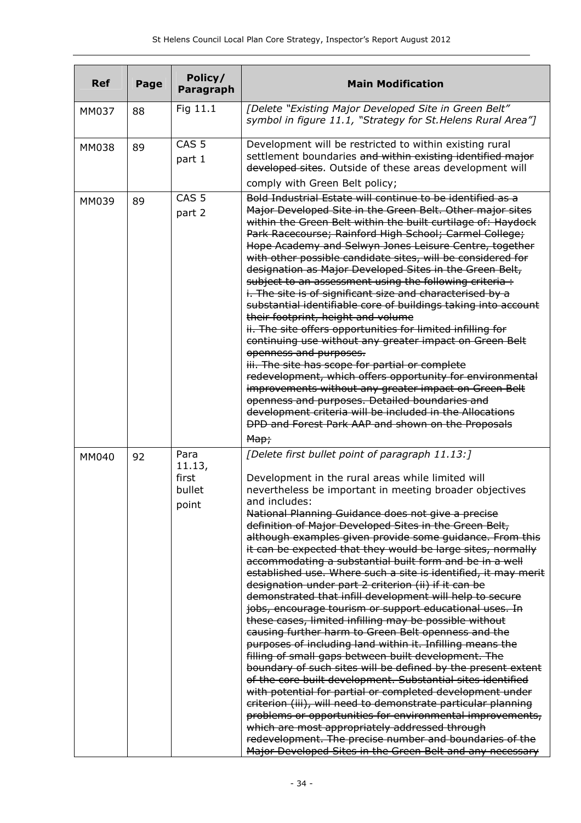| <b>Ref</b> | Page | Policy/<br>Paragraph                       | <b>Main Modification</b>                                                                                                                                                                                                                                                                                                                                                                                                                                                                                                                                                                                                                                                                                                                                                                                                                                                                                                                                                                                                                                                                                                                                                                                                                                                                                                                                                                                                                                                          |
|------------|------|--------------------------------------------|-----------------------------------------------------------------------------------------------------------------------------------------------------------------------------------------------------------------------------------------------------------------------------------------------------------------------------------------------------------------------------------------------------------------------------------------------------------------------------------------------------------------------------------------------------------------------------------------------------------------------------------------------------------------------------------------------------------------------------------------------------------------------------------------------------------------------------------------------------------------------------------------------------------------------------------------------------------------------------------------------------------------------------------------------------------------------------------------------------------------------------------------------------------------------------------------------------------------------------------------------------------------------------------------------------------------------------------------------------------------------------------------------------------------------------------------------------------------------------------|
| MM037      | 88   | Fig 11.1                                   | [Delete "Existing Major Developed Site in Green Belt"<br>symbol in figure 11.1, "Strategy for St. Helens Rural Area"]                                                                                                                                                                                                                                                                                                                                                                                                                                                                                                                                                                                                                                                                                                                                                                                                                                                                                                                                                                                                                                                                                                                                                                                                                                                                                                                                                             |
| MM038      | 89   | CAS <sub>5</sub><br>part 1                 | Development will be restricted to within existing rural<br>settlement boundaries and within existing identified major<br>developed sites. Outside of these areas development will<br>comply with Green Belt policy;                                                                                                                                                                                                                                                                                                                                                                                                                                                                                                                                                                                                                                                                                                                                                                                                                                                                                                                                                                                                                                                                                                                                                                                                                                                               |
| MM039      | 89   | CAS <sub>5</sub><br>part 2                 | Bold Industrial Estate will continue to be identified as a<br>Major Developed Site in the Green Belt. Other major sites<br>within the Green Belt within the built curtilage of: Haydock<br>Park Racecourse; Rainford High School; Carmel College;<br>Hope Academy and Selwyn Jones Leisure Centre, together<br>with other possible candidate sites, will be considered for<br>designation as Major Developed Sites in the Green Belt,<br>subject to an assessment using the following criteria :<br>i. The site is of significant size and characterised by a<br>substantial identifiable core of buildings taking into account<br>their footprint, height and volume<br>ii. The site offers opportunities for limited infilling for<br>continuing use without any greater impact on Green Belt<br>openness and purposes.<br>iii. The site has scope for partial or complete<br>redevelopment, which offers opportunity for environmental<br>improvements without any greater impact on Green Belt<br>openness and purposes. Detailed boundaries and<br>development criteria will be included in the Allocations<br>DPD and Forest Park AAP and shown on the Proposals<br>Map;                                                                                                                                                                                                                                                                                                    |
| MM040      | 92   | Para<br>11.13,<br>first<br>bullet<br>point | [Delete first bullet point of paragraph 11.13:]<br>Development in the rural areas while limited will<br>nevertheless be important in meeting broader objectives<br>and includes:<br>National Planning Guidance does not give a precise<br>definition of Major Developed Sites in the Green Belt,<br>although examples given provide some guidance. From this<br>it can be expected that they would be large sites, normally<br>accommodating a substantial built form and be in a well<br>established use. Where such a site is identified, it may merit<br>designation under part 2 criterion (ii) if it can be<br>demonstrated that infill development will help to secure<br>jobs, encourage tourism or support educational uses. In<br>these cases, limited infilling may be possible without<br>causing further harm to Green Belt openness and the<br>purposes of including land within it. Infilling means the<br>filling of small gaps between built development. The<br>boundary of such sites will be defined by the present extent<br>of the core built development. Substantial sites identified<br>with potential for partial or completed development under<br>criterion (iii), will need to demonstrate particular planning<br>problems or opportunities for environmental improvements,<br>which are most appropriately addressed through<br>redevelopment. The precise number and boundaries of the<br>Major Developed Sites in the Green Belt and any necessary |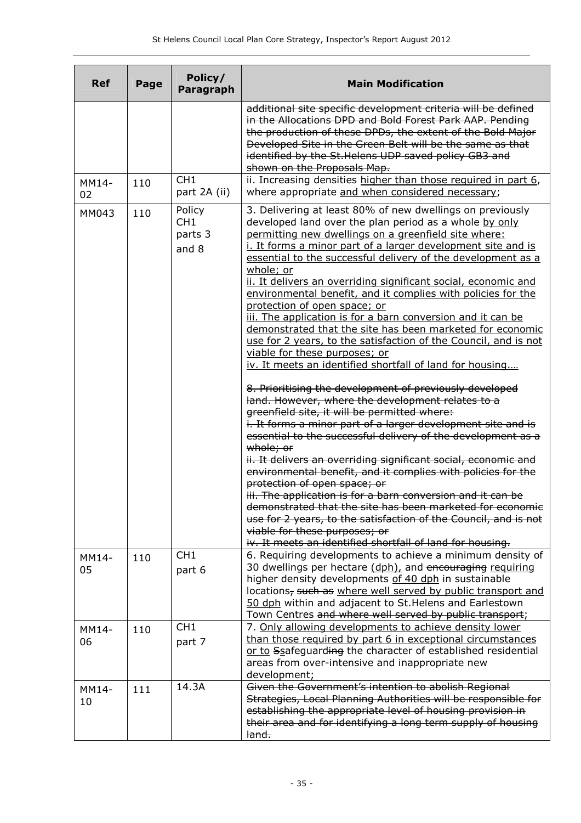| <b>Ref</b>  | Page | Policy/<br>Paragraph                          | <b>Main Modification</b>                                                                                                                                                                                                                                                                                                                                                                                                                                                                                                                                                                                                                                                                                                                                                                                                                                                                                                                                                                                                                                                               |  |  |  |
|-------------|------|-----------------------------------------------|----------------------------------------------------------------------------------------------------------------------------------------------------------------------------------------------------------------------------------------------------------------------------------------------------------------------------------------------------------------------------------------------------------------------------------------------------------------------------------------------------------------------------------------------------------------------------------------------------------------------------------------------------------------------------------------------------------------------------------------------------------------------------------------------------------------------------------------------------------------------------------------------------------------------------------------------------------------------------------------------------------------------------------------------------------------------------------------|--|--|--|
|             |      |                                               | additional site specific development criteria will be defined<br>in the Allocations DPD and Bold Forest Park AAP. Pending<br>the production of these DPDs, the extent of the Bold Major<br>Developed Site in the Green Belt will be the same as that<br>identified by the St. Helens UDP saved policy GB3 and<br>shown on the Proposals Map.                                                                                                                                                                                                                                                                                                                                                                                                                                                                                                                                                                                                                                                                                                                                           |  |  |  |
| MM14-<br>02 | 110  | CH <sub>1</sub><br>part 2A (ii)               | ii. Increasing densities higher than those required in part 6,<br>where appropriate and when considered necessary;                                                                                                                                                                                                                                                                                                                                                                                                                                                                                                                                                                                                                                                                                                                                                                                                                                                                                                                                                                     |  |  |  |
| MM043       | 110  | Policy<br>CH <sub>1</sub><br>parts 3<br>and 8 | 3. Delivering at least 80% of new dwellings on previously<br>developed land over the plan period as a whole by only<br>permitting new dwellings on a greenfield site where:<br>i. It forms a minor part of a larger development site and is<br>essential to the successful delivery of the development as a<br>whole; or<br>ii. It delivers an overriding significant social, economic and<br>environmental benefit, and it complies with policies for the<br>protection of open space; or<br>iii. The application is for a barn conversion and it can be<br>demonstrated that the site has been marketed for economic<br>use for 2 years, to the satisfaction of the Council, and is not<br>viable for these purposes; or<br>iv. It meets an identified shortfall of land for housing<br>8. Prioritising the development of previously developed<br>land. However, where the development relates to a<br>greenfield site, it will be permitted where:<br>i. It forms a minor part of a larger development site and is<br>essential to the successful delivery of the development as a |  |  |  |
|             |      |                                               | whole; or<br>ii. It delivers an overriding significant social, economic and<br>environmental benefit, and it complies with policies for the<br>protection of open space; or<br>iii. The application is for a barn conversion and it can be<br><del>demonstrated that the site has been marketed for economic</del><br>use for 2 years, to the satisfaction of the Council, and is not<br>viable for these purposes; or<br>iv. It meets an identified shortfall of land for housing.                                                                                                                                                                                                                                                                                                                                                                                                                                                                                                                                                                                                    |  |  |  |
| MM14-<br>05 | 110  | CH <sub>1</sub><br>part 6                     | 6. Requiring developments to achieve a minimum density of<br>30 dwellings per hectare (dph), and encouraging requiring<br>higher density developments of 40 dph in sustainable<br>locations, such as where well served by public transport and<br>50 dph within and adjacent to St. Helens and Earlestown<br>Town Centres and where well served by public transport;                                                                                                                                                                                                                                                                                                                                                                                                                                                                                                                                                                                                                                                                                                                   |  |  |  |
| MM14-<br>06 | 110  | CH <sub>1</sub><br>part 7                     | 7. Only allowing developments to achieve density lower<br>than those required by part 6 in exceptional circumstances<br>or to Ssafeguarding the character of established residential<br>areas from over-intensive and inappropriate new<br>development;                                                                                                                                                                                                                                                                                                                                                                                                                                                                                                                                                                                                                                                                                                                                                                                                                                |  |  |  |
| MM14-<br>10 | 111  | 14.3A                                         | Given the Government's intention to abolish Regional<br>Strategies, Local Planning Authorities will be responsible for<br>establishing the appropriate level of housing provision in<br>their area and for identifying a long term supply of housing<br><del>land.</del>                                                                                                                                                                                                                                                                                                                                                                                                                                                                                                                                                                                                                                                                                                                                                                                                               |  |  |  |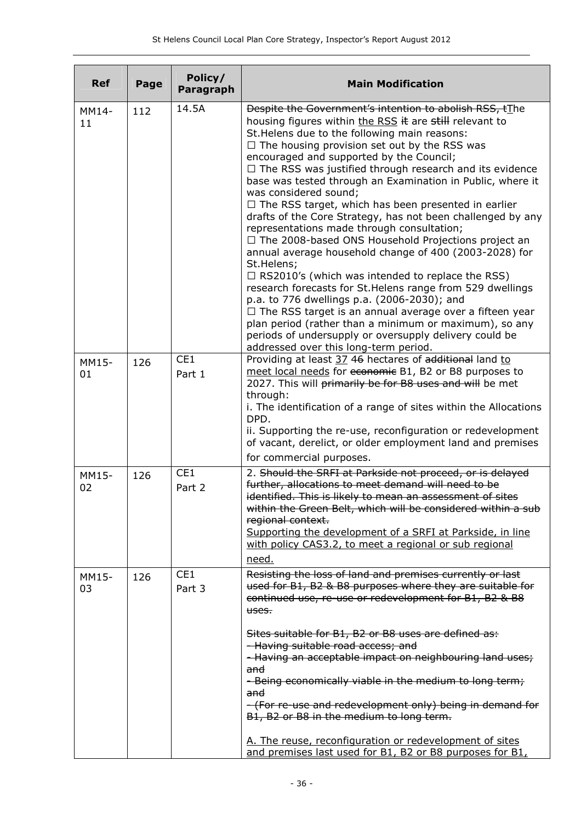| <b>Ref</b>  | Page | Policy/<br>Paragraph      | <b>Main Modification</b>                                                                                                                                                                                                                                                                                                                                                                                                                                                                                                                                                                                                                                                                                                                                                                                                                                                                                                                                                                                                                                                                                                                                |  |  |
|-------------|------|---------------------------|---------------------------------------------------------------------------------------------------------------------------------------------------------------------------------------------------------------------------------------------------------------------------------------------------------------------------------------------------------------------------------------------------------------------------------------------------------------------------------------------------------------------------------------------------------------------------------------------------------------------------------------------------------------------------------------------------------------------------------------------------------------------------------------------------------------------------------------------------------------------------------------------------------------------------------------------------------------------------------------------------------------------------------------------------------------------------------------------------------------------------------------------------------|--|--|
| MM14-<br>11 | 112  | 14.5A                     | Despite the Government's intention to abolish RSS, tThe<br>housing figures within the RSS it are still relevant to<br>St. Helens due to the following main reasons:<br>$\Box$ The housing provision set out by the RSS was<br>encouraged and supported by the Council;<br>$\Box$ The RSS was justified through research and its evidence<br>base was tested through an Examination in Public, where it<br>was considered sound;<br>$\Box$ The RSS target, which has been presented in earlier<br>drafts of the Core Strategy, has not been challenged by any<br>representations made through consultation;<br>$\Box$ The 2008-based ONS Household Projections project an<br>annual average household change of 400 (2003-2028) for<br>St.Helens;<br>$\Box$ RS2010's (which was intended to replace the RSS)<br>research forecasts for St. Helens range from 529 dwellings<br>p.a. to 776 dwellings p.a. (2006-2030); and<br>$\Box$ The RSS target is an annual average over a fifteen year<br>plan period (rather than a minimum or maximum), so any<br>periods of undersupply or oversupply delivery could be<br>addressed over this long-term period. |  |  |
| MM15-<br>01 | 126  | CE <sub>1</sub><br>Part 1 | Providing at least 37 46 hectares of additional land to<br>meet local needs for economic B1, B2 or B8 purposes to<br>2027. This will primarily be for B8 uses and will be met<br>through:<br>i. The identification of a range of sites within the Allocations<br>DPD.<br>ii. Supporting the re-use, reconfiguration or redevelopment<br>of vacant, derelict, or older employment land and premises<br>for commercial purposes.                                                                                                                                                                                                                                                                                                                                                                                                                                                                                                                                                                                                                                                                                                                          |  |  |
| MM15-<br>02 | 126  | CE1<br>Part 2             | 2. Should the SRFI at Parkside not proceed, or is delayed<br>further, allocations to meet demand will need to be<br>identified. This is likely to mean an assessment of sites<br>within the Green Belt, which will be considered within a sub<br>regional context.<br>Supporting the development of a SRFI at Parkside, in line<br>with policy CAS3.2, to meet a regional or sub regional<br>need.                                                                                                                                                                                                                                                                                                                                                                                                                                                                                                                                                                                                                                                                                                                                                      |  |  |
| MM15-<br>03 | 126  | CE <sub>1</sub><br>Part 3 | Resisting the loss of land and premises currently or last<br>used for B1, B2 & B8 purposes where they are suitable for<br>continued use, re-use or redevelopment for B1, B2 & B8<br>uses.<br>Sites suitable for B1, B2 or B8 uses are defined as:<br>- Having suitable road access; and<br>- Having an acceptable impact on neighbouring land uses;<br>and<br>- Being economically viable in the medium to long term;<br>and<br>- (For re-use and redevelopment only) being in demand for<br>B1, B2 or B8 in the medium to long term.<br>A. The reuse, reconfiguration or redevelopment of sites<br>and premises last used for B1, B2 or B8 purposes for B1,                                                                                                                                                                                                                                                                                                                                                                                                                                                                                            |  |  |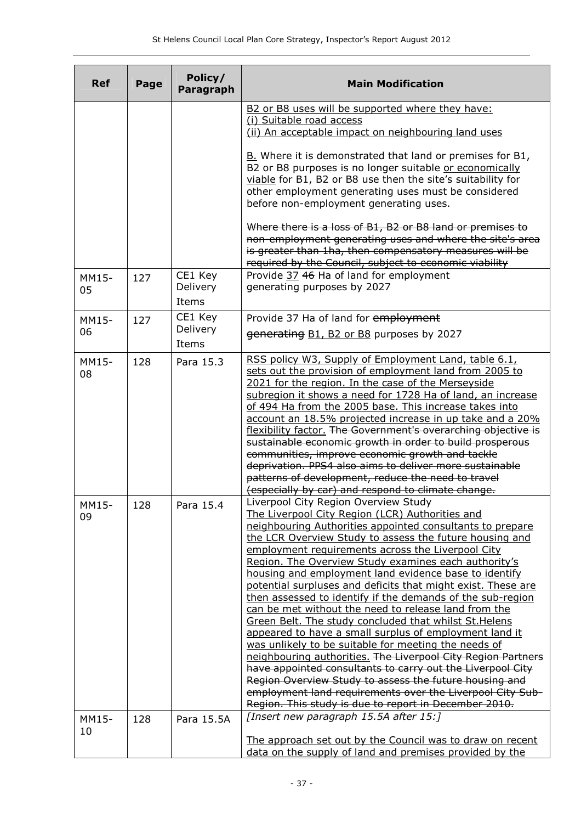| <b>Ref</b>  | Page | Policy/<br><b>Paragraph</b> | <b>Main Modification</b>                                                                                             |  |  |
|-------------|------|-----------------------------|----------------------------------------------------------------------------------------------------------------------|--|--|
|             |      |                             | B2 or B8 uses will be supported where they have:                                                                     |  |  |
|             |      |                             | (i) Suitable road access                                                                                             |  |  |
|             |      |                             | (ii) An acceptable impact on neighbouring land uses                                                                  |  |  |
|             |      |                             | B. Where it is demonstrated that land or premises for B1,                                                            |  |  |
|             |      |                             | B2 or B8 purposes is no longer suitable or economically                                                              |  |  |
|             |      |                             | viable for B1, B2 or B8 use then the site's suitability for                                                          |  |  |
|             |      |                             | other employment generating uses must be considered                                                                  |  |  |
|             |      |                             | before non-employment generating uses.                                                                               |  |  |
|             |      |                             | Where there is a loss of B1, B2 or B8 land or premises to                                                            |  |  |
|             |      |                             | non-employment generating uses and where the site's area                                                             |  |  |
|             |      |                             | is greater than 1ha, then compensatory measures will be                                                              |  |  |
|             |      |                             | required by the Council, subject to economic viability                                                               |  |  |
| MM15-       | 127  | CE1 Key                     | Provide 37 46 Ha of land for employment                                                                              |  |  |
| 05          |      | Delivery                    | generating purposes by 2027                                                                                          |  |  |
|             |      | Items                       |                                                                                                                      |  |  |
| MM15-       | 127  | CE1 Key                     | Provide 37 Ha of land for employment                                                                                 |  |  |
| 06          |      | Delivery<br>Items           | generating B1, B2 or B8 purposes by 2027                                                                             |  |  |
|             |      |                             | RSS policy W3, Supply of Employment Land, table 6.1,                                                                 |  |  |
| MM15-       | 128  | Para 15.3                   | sets out the provision of employment land from 2005 to                                                               |  |  |
| 08          |      |                             | 2021 for the region. In the case of the Merseyside                                                                   |  |  |
|             |      |                             | subregion it shows a need for 1728 Ha of land, an increase                                                           |  |  |
|             |      |                             | of 494 Ha from the 2005 base. This increase takes into                                                               |  |  |
|             |      |                             | account an 18.5% projected increase in up take and a 20%                                                             |  |  |
|             |      |                             | flexibility factor. The Government's overarching objective is                                                        |  |  |
|             |      |                             | sustainable economic growth in order to build prosperous                                                             |  |  |
|             |      |                             | communities, improve economic growth and tackle                                                                      |  |  |
|             |      |                             | deprivation. PPS4 also aims to deliver more sustainable                                                              |  |  |
|             |      |                             | patterns of development, reduce the need to travel                                                                   |  |  |
|             |      |                             | (especially by car) and respond to climate change.                                                                   |  |  |
| MM15-       | 128  | Para 15.4                   | Liverpool City Region Overview Study                                                                                 |  |  |
| 09          |      |                             | The Liverpool City Region (LCR) Authorities and                                                                      |  |  |
|             |      |                             | neighbouring Authorities appointed consultants to prepare<br>the LCR Overview Study to assess the future housing and |  |  |
|             |      |                             | employment requirements across the Liverpool City                                                                    |  |  |
|             |      |                             | Region. The Overview Study examines each authority's                                                                 |  |  |
|             |      |                             | housing and employment land evidence base to identify                                                                |  |  |
|             |      |                             | potential surpluses and deficits that might exist. These are                                                         |  |  |
|             |      |                             | then assessed to identify if the demands of the sub-region                                                           |  |  |
|             |      |                             | can be met without the need to release land from the                                                                 |  |  |
|             |      |                             | Green Belt. The study concluded that whilst St. Helens                                                               |  |  |
|             |      |                             | appeared to have a small surplus of employment land it                                                               |  |  |
|             |      |                             | was unlikely to be suitable for meeting the needs of                                                                 |  |  |
|             |      |                             | neighbouring authorities. The Liverpool City Region Partners                                                         |  |  |
|             |      |                             | have appointed consultants to carry out the Liverpool City                                                           |  |  |
|             |      |                             | Region Overview Study to assess the future housing and                                                               |  |  |
|             |      |                             | employment land requirements over the Liverpool City Sub-                                                            |  |  |
|             |      |                             | Region. This study is due to report in December 2010.<br>[Insert new paragraph 15.5A after 15:]                      |  |  |
| MM15-<br>10 | 128  | Para 15.5A                  |                                                                                                                      |  |  |
|             |      |                             | The approach set out by the Council was to draw on recent                                                            |  |  |
|             |      |                             | data on the supply of land and premises provided by the                                                              |  |  |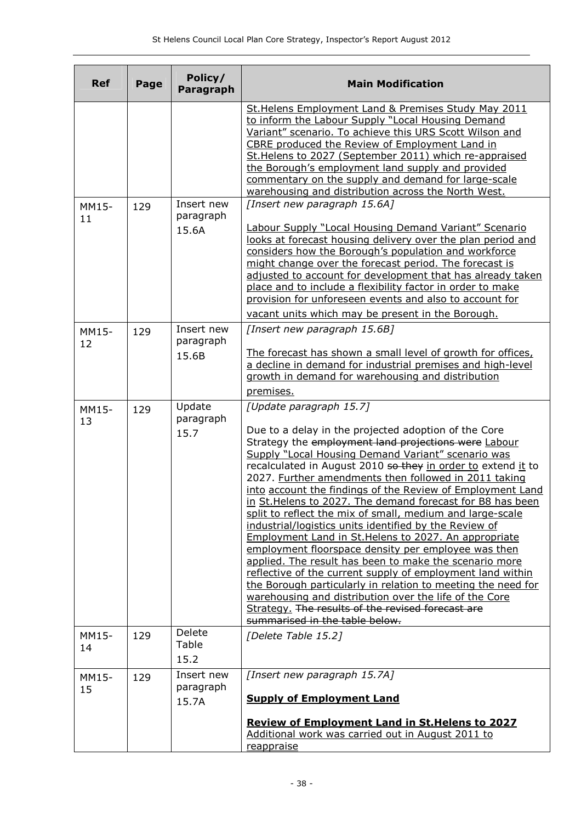| <b>Ref</b>  | Page | Policy/<br>Paragraph             | <b>Main Modification</b>                                                                                                                                                                                                                                                                                                                                                                                                                                                                                                                                                                                                                                                                                                                                                                                                                                                                                                                                                                                                                  |  |  |  |
|-------------|------|----------------------------------|-------------------------------------------------------------------------------------------------------------------------------------------------------------------------------------------------------------------------------------------------------------------------------------------------------------------------------------------------------------------------------------------------------------------------------------------------------------------------------------------------------------------------------------------------------------------------------------------------------------------------------------------------------------------------------------------------------------------------------------------------------------------------------------------------------------------------------------------------------------------------------------------------------------------------------------------------------------------------------------------------------------------------------------------|--|--|--|
|             |      |                                  | St. Helens Employment Land & Premises Study May 2011<br>to inform the Labour Supply "Local Housing Demand<br>Variant" scenario. To achieve this URS Scott Wilson and<br>CBRE produced the Review of Employment Land in<br>St. Helens to 2027 (September 2011) which re-appraised<br>the Borough's employment land supply and provided<br>commentary on the supply and demand for large-scale<br>warehousing and distribution across the North West.                                                                                                                                                                                                                                                                                                                                                                                                                                                                                                                                                                                       |  |  |  |
| MM15-<br>11 | 129  | Insert new<br>paragraph<br>15.6A | [Insert new paragraph 15.6A]<br><b>Labour Supply "Local Housing Demand Variant" Scenario</b><br>looks at forecast housing delivery over the plan period and<br>considers how the Borough's population and workforce<br>might change over the forecast period. The forecast is<br>adjusted to account for development that has already taken<br>place and to include a flexibility factor in order to make                                                                                                                                                                                                                                                                                                                                                                                                                                                                                                                                                                                                                                 |  |  |  |
|             |      |                                  | provision for unforeseen events and also to account for<br>vacant units which may be present in the Borough.                                                                                                                                                                                                                                                                                                                                                                                                                                                                                                                                                                                                                                                                                                                                                                                                                                                                                                                              |  |  |  |
| MM15-<br>12 | 129  | Insert new<br>paragraph<br>15.6B | [Insert new paragraph 15.6B]<br>The forecast has shown a small level of growth for offices,<br>a decline in demand for industrial premises and high-level<br>growth in demand for warehousing and distribution<br>premises.                                                                                                                                                                                                                                                                                                                                                                                                                                                                                                                                                                                                                                                                                                                                                                                                               |  |  |  |
| MM15-<br>13 | 129  | Update<br>paragraph<br>15.7      | [Update paragraph 15.7]<br>Due to a delay in the projected adoption of the Core<br>Strategy the employment land projections were Labour<br>Supply "Local Housing Demand Variant" scenario was<br>recalculated in August 2010 so they in order to extend it to<br>2027. Further amendments then followed in 2011 taking<br>into account the findings of the Review of Employment Land<br>in St. Helens to 2027. The demand forecast for B8 has been<br>split to reflect the mix of small, medium and large-scale<br>industrial/logistics units identified by the Review of<br><b>Employment Land in St. Helens to 2027. An appropriate</b><br>employment floorspace density per employee was then<br>applied. The result has been to make the scenario more<br>reflective of the current supply of employment land within<br>the Borough particularly in relation to meeting the need for<br>warehousing and distribution over the life of the Core<br>Strategy. The results of the revised forecast are<br>summarised in the table below. |  |  |  |
| MM15-<br>14 | 129  | Delete<br>Table<br>15.2          | [Delete Table 15.2]                                                                                                                                                                                                                                                                                                                                                                                                                                                                                                                                                                                                                                                                                                                                                                                                                                                                                                                                                                                                                       |  |  |  |
| MM15-<br>15 | 129  | Insert new<br>paragraph<br>15.7A | [Insert new paragraph 15.7A]<br><b>Supply of Employment Land</b><br><b>Review of Employment Land in St. Helens to 2027</b><br>Additional work was carried out in August 2011 to                                                                                                                                                                                                                                                                                                                                                                                                                                                                                                                                                                                                                                                                                                                                                                                                                                                           |  |  |  |
|             |      |                                  | reappraise                                                                                                                                                                                                                                                                                                                                                                                                                                                                                                                                                                                                                                                                                                                                                                                                                                                                                                                                                                                                                                |  |  |  |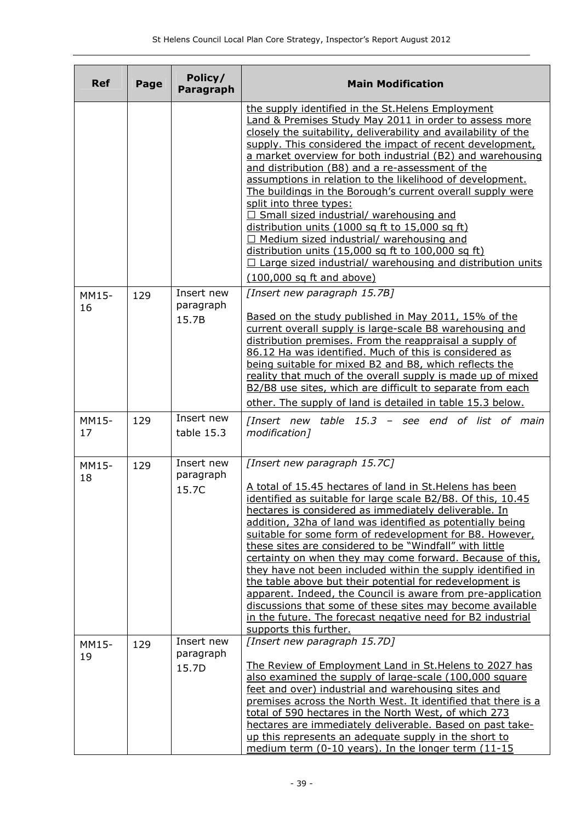| <b>Ref</b>  | Page | Policy/<br>Paragraph             | <b>Main Modification</b>                                                                                                                                                                                                                                                                                                                                                                                                                                                                                                                                                                                                                                                                                                                                                                                                             |  |  |
|-------------|------|----------------------------------|--------------------------------------------------------------------------------------------------------------------------------------------------------------------------------------------------------------------------------------------------------------------------------------------------------------------------------------------------------------------------------------------------------------------------------------------------------------------------------------------------------------------------------------------------------------------------------------------------------------------------------------------------------------------------------------------------------------------------------------------------------------------------------------------------------------------------------------|--|--|
|             |      |                                  | the supply identified in the St. Helens Employment<br>Land & Premises Study May 2011 in order to assess more<br>closely the suitability, deliverability and availability of the<br>supply. This considered the impact of recent development,<br>a market overview for both industrial (B2) and warehousing<br>and distribution (B8) and a re-assessment of the<br>assumptions in relation to the likelihood of development.<br>The buildings in the Borough's current overall supply were<br>split into three types:<br>$\Box$ Small sized industrial/ warehousing and<br>distribution units (1000 sq ft to 15,000 sq ft)<br>$\Box$ Medium sized industrial/ warehousing and<br>distribution units (15,000 sq ft to 100,000 sq ft)<br>$\Box$ Large sized industrial/ warehousing and distribution units<br>(100,000 sq ft and above) |  |  |
| MM15-<br>16 | 129  | Insert new<br>paragraph<br>15.7B | [Insert new paragraph 15.7B]<br>Based on the study published in May 2011, 15% of the<br>current overall supply is large-scale B8 warehousing and<br>distribution premises. From the reappraisal a supply of<br>86.12 Ha was identified. Much of this is considered as<br>being suitable for mixed B2 and B8, which reflects the<br>reality that much of the overall supply is made up of mixed<br>B2/B8 use sites, which are difficult to separate from each<br>other. The supply of land is detailed in table 15.3 below.                                                                                                                                                                                                                                                                                                           |  |  |
| MM15-<br>17 | 129  | Insert new<br>table 15.3         | [Insert new table 15.3 - see end of list of main<br>modification]                                                                                                                                                                                                                                                                                                                                                                                                                                                                                                                                                                                                                                                                                                                                                                    |  |  |
| MM15-<br>18 | 129  | Insert new<br>paragraph<br>15.7C | [Insert new paragraph 15.7C]<br>A total of 15.45 hectares of land in St. Helens has been<br>identified as suitable for large scale B2/B8. Of this, 10.45<br>hectares is considered as immediately deliverable. In<br>addition, 32ha of land was identified as potentially being<br>suitable for some form of redevelopment for B8. However,<br>these sites are considered to be "Windfall" with little<br>certainty on when they may come forward. Because of this,<br>they have not been included within the supply identified in<br>the table above but their potential for redevelopment is<br>apparent. Indeed, the Council is aware from pre-application<br>discussions that some of these sites may become available<br>in the future. The forecast negative need for B2 industrial<br>supports this further.                  |  |  |
| MM15-<br>19 | 129  | Insert new<br>paragraph<br>15.7D | [Insert new paragraph 15.7D]<br>The Review of Employment Land in St. Helens to 2027 has<br>also examined the supply of large-scale (100,000 square<br>feet and over) industrial and warehousing sites and<br>premises across the North West. It identified that there is a<br>total of 590 hectares in the North West, of which 273<br>hectares are immediately deliverable. Based on past take-<br>up this represents an adequate supply in the short to<br>medium term (0-10 years). In the longer term (11-15                                                                                                                                                                                                                                                                                                                     |  |  |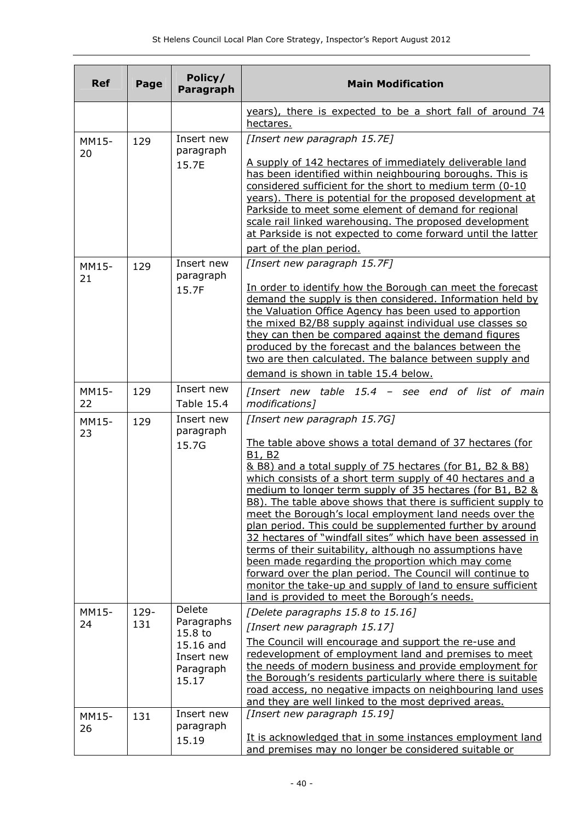| <b>Ref</b>  | Page | Policy/<br>Paragraph                          | <b>Main Modification</b>                                                                                                                                                                                                                                                                                                                                                                                                                                                                                                                                                                                                                                                                                                                                                                                                                          |  |  |
|-------------|------|-----------------------------------------------|---------------------------------------------------------------------------------------------------------------------------------------------------------------------------------------------------------------------------------------------------------------------------------------------------------------------------------------------------------------------------------------------------------------------------------------------------------------------------------------------------------------------------------------------------------------------------------------------------------------------------------------------------------------------------------------------------------------------------------------------------------------------------------------------------------------------------------------------------|--|--|
|             |      |                                               | years), there is expected to be a short fall of around 74<br>hectares.                                                                                                                                                                                                                                                                                                                                                                                                                                                                                                                                                                                                                                                                                                                                                                            |  |  |
| MM15-       | 129  | Insert new                                    | [Insert new paragraph 15.7E]<br>A supply of 142 hectares of immediately deliverable land<br>has been identified within neighbouring boroughs. This is<br>considered sufficient for the short to medium term (0-10<br>years). There is potential for the proposed development at<br>Parkside to meet some element of demand for regional<br>scale rail linked warehousing. The proposed development<br>at Parkside is not expected to come forward until the latter<br>part of the plan period.                                                                                                                                                                                                                                                                                                                                                    |  |  |
| 20          |      | paragraph<br>15.7E                            |                                                                                                                                                                                                                                                                                                                                                                                                                                                                                                                                                                                                                                                                                                                                                                                                                                                   |  |  |
| MM15-       | 129  | Insert new                                    | [Insert new paragraph 15.7F]                                                                                                                                                                                                                                                                                                                                                                                                                                                                                                                                                                                                                                                                                                                                                                                                                      |  |  |
| 21          |      | paragraph<br>15.7F                            | In order to identify how the Borough can meet the forecast<br>demand the supply is then considered. Information held by<br>the Valuation Office Agency has been used to apportion<br>the mixed B2/B8 supply against individual use classes so<br>they can then be compared against the demand figures<br>produced by the forecast and the balances between the<br>two are then calculated. The balance between supply and<br>demand is shown in table 15.4 below.                                                                                                                                                                                                                                                                                                                                                                                 |  |  |
| MM15-       | 129  | Insert new                                    | [Insert new table 15.4 - see end of list of main                                                                                                                                                                                                                                                                                                                                                                                                                                                                                                                                                                                                                                                                                                                                                                                                  |  |  |
| 22          |      | <b>Table 15.4</b>                             | modifications]                                                                                                                                                                                                                                                                                                                                                                                                                                                                                                                                                                                                                                                                                                                                                                                                                                    |  |  |
| MM15-<br>23 | 129  | Insert new<br>paragraph<br>15.7G              | [Insert new paragraph 15.7G]<br>The table above shows a total demand of 37 hectares (for<br>B1, B2<br>& B8) and a total supply of 75 hectares (for B1, B2 & B8)<br>which consists of a short term supply of 40 hectares and a<br>medium to longer term supply of 35 hectares (for B1, B2 &<br>B8). The table above shows that there is sufficient supply to<br>meet the Borough's local employment land needs over the<br>plan period. This could be supplemented further by around<br>32 hectares of "windfall sites" which have been assessed in<br>terms of their suitability, although no assumptions have<br>been made regarding the proportion which may come<br>forward over the plan period. The Council will continue to<br>monitor the take-up and supply of land to ensure sufficient<br>land is provided to meet the Borough's needs. |  |  |
| MM15-       | 129- | Delete                                        | [Delete paragraphs 15.8 to 15.16]                                                                                                                                                                                                                                                                                                                                                                                                                                                                                                                                                                                                                                                                                                                                                                                                                 |  |  |
| 24          | 131  | Paragraphs<br>15.8 to                         | [Insert new paragraph 15.17]                                                                                                                                                                                                                                                                                                                                                                                                                                                                                                                                                                                                                                                                                                                                                                                                                      |  |  |
|             |      | 15.16 and<br>Insert new<br>Paragraph<br>15.17 | The Council will encourage and support the re-use and<br>redevelopment of employment land and premises to meet<br>the needs of modern business and provide employment for<br>the Borough's residents particularly where there is suitable<br>road access, no negative impacts on neighbouring land uses<br>and they are well linked to the most deprived areas.                                                                                                                                                                                                                                                                                                                                                                                                                                                                                   |  |  |
| MM15-<br>26 | 131  | Insert new<br>paragraph                       | [Insert new paragraph 15.19]                                                                                                                                                                                                                                                                                                                                                                                                                                                                                                                                                                                                                                                                                                                                                                                                                      |  |  |
|             |      | 15.19                                         | It is acknowledged that in some instances employment land<br>and premises may no longer be considered suitable or                                                                                                                                                                                                                                                                                                                                                                                                                                                                                                                                                                                                                                                                                                                                 |  |  |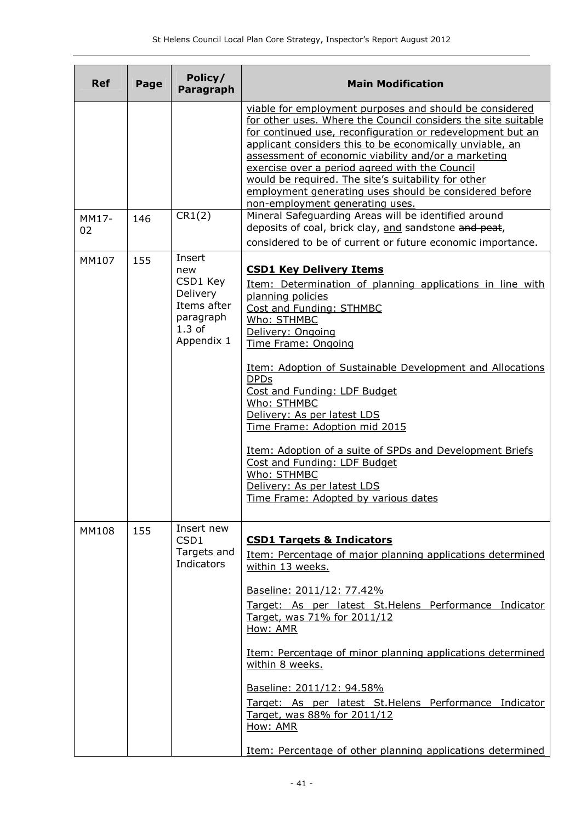| <b>Ref</b>  | Page | Policy/<br>Paragraph                                                                        | <b>Main Modification</b>                                                                                                                                                                                                                                                                                                                                                                                                                                                                                                                                                                    |  |  |  |
|-------------|------|---------------------------------------------------------------------------------------------|---------------------------------------------------------------------------------------------------------------------------------------------------------------------------------------------------------------------------------------------------------------------------------------------------------------------------------------------------------------------------------------------------------------------------------------------------------------------------------------------------------------------------------------------------------------------------------------------|--|--|--|
|             |      |                                                                                             | viable for employment purposes and should be considered<br>for other uses. Where the Council considers the site suitable<br>for continued use, reconfiguration or redevelopment but an<br>applicant considers this to be economically unviable, an<br>assessment of economic viability and/or a marketing<br>exercise over a period agreed with the Council<br>would be required. The site's suitability for other<br>employment generating uses should be considered before<br>non-employment generating uses.                                                                             |  |  |  |
| MM17-<br>02 | 146  | CR1(2)                                                                                      | Mineral Safeguarding Areas will be identified around<br>deposits of coal, brick clay, and sandstone and peat,<br>considered to be of current or future economic importance.                                                                                                                                                                                                                                                                                                                                                                                                                 |  |  |  |
| MM107       | 155  | Insert<br>new<br>CSD1 Key<br>Delivery<br>Items after<br>paragraph<br>$1.3$ of<br>Appendix 1 | <b>CSD1 Key Delivery Items</b><br>Item: Determination of planning applications in line with<br>planning policies<br>Cost and Funding: STHMBC<br>Who: STHMBC<br>Delivery: Ongoing<br><b>Time Frame: Ongoing</b><br>Item: Adoption of Sustainable Development and Allocations<br><b>DPDs</b><br>Cost and Funding: LDF Budget<br>Who: STHMBC<br>Delivery: As per latest LDS<br>Time Frame: Adoption mid 2015<br>Item: Adoption of a suite of SPDs and Development Briefs<br>Cost and Funding: LDF Budget<br>Who: STHMBC<br>Delivery: As per latest LDS<br>Time Frame: Adopted by various dates |  |  |  |
| MM108       | 155  | Insert new<br>CSD1<br>Targets and<br>Indicators                                             | <b>CSD1 Targets &amp; Indicators</b><br>Item: Percentage of major planning applications determined<br>within 13 weeks.<br>Baseline: 2011/12: 77.42%<br>Target: As per latest St. Helens Performance Indicator<br>Target, was 71% for 2011/12<br>How: AMR<br>Item: Percentage of minor planning applications determined<br>within 8 weeks.<br>Baseline: 2011/12: 94.58%<br>Target: As per latest St. Helens Performance Indicator<br>Target, was 88% for 2011/12<br>How: AMR<br>Item: Percentage of other planning applications determined                                                   |  |  |  |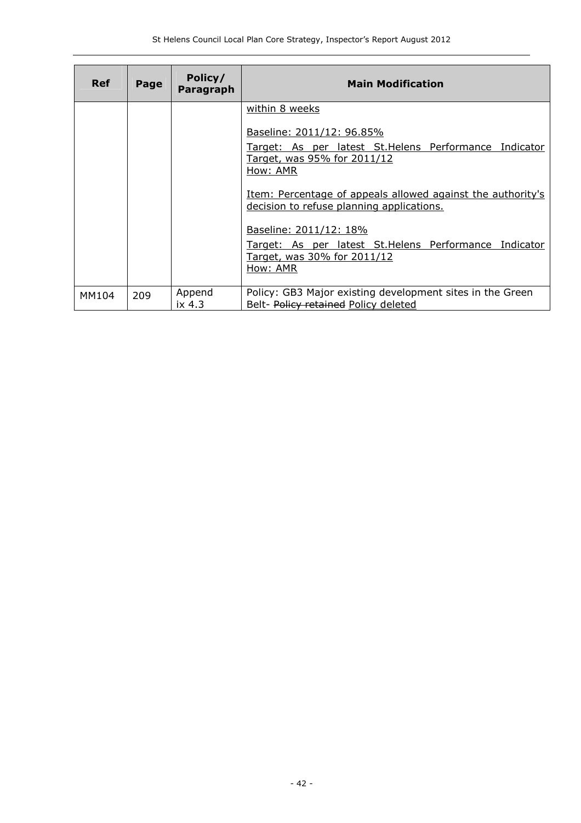| <b>Ref</b> | Page | Policy/<br>Paragraph | <b>Main Modification</b>                                                                                                                                                                                                                                                               |
|------------|------|----------------------|----------------------------------------------------------------------------------------------------------------------------------------------------------------------------------------------------------------------------------------------------------------------------------------|
|            |      |                      | within 8 weeks<br>Baseline: 2011/12: 96.85%<br>Target: As per latest St. Helens Performance Indicator<br>Target, was 95% for 2011/12<br>How: AMR<br>Item: Percentage of appeals allowed against the authority's<br>decision to refuse planning applications.<br>Baseline: 2011/12: 18% |
|            |      |                      | Target: As per latest St. Helens Performance Indicator<br>Target, was 30% for 2011/12<br>How: AMR                                                                                                                                                                                      |
| MM104      | 209  | Append<br>ix 4.3     | Policy: GB3 Major existing development sites in the Green<br>Belt- Policy retained Policy deleted                                                                                                                                                                                      |